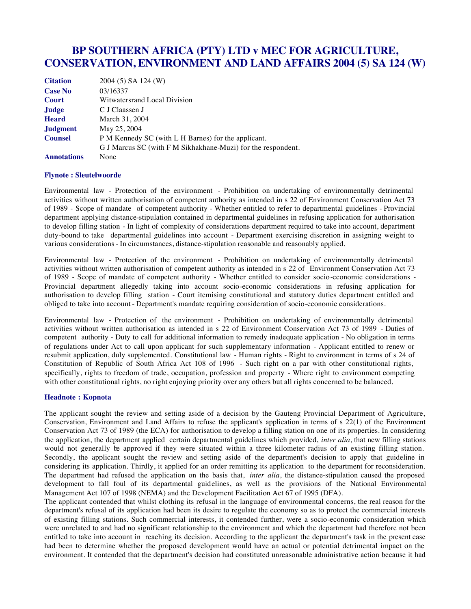# **BP SOUTHERN AFRICA (PTY) LTD v MEC FOR AGRICULTURE, CONSERVATION, ENVIRONMENT AND LAND AFFAIRS 2004 (5) SA 124 (W)**

| <b>Citation</b>    | 2004 (5) SA 124 (W)                                          |
|--------------------|--------------------------------------------------------------|
| <b>Case No</b>     | 03/16337                                                     |
| <b>Court</b>       | Witwatersrand Local Division                                 |
| Judge              | C J Claassen J                                               |
| <b>Heard</b>       | March 31, 2004                                               |
| <b>Judgment</b>    | May 25, 2004                                                 |
| <b>Counsel</b>     | P M Kennedy SC (with L H Barnes) for the applicant.          |
|                    | G J Marcus SC (with F M Sikhakhane-Muzi) for the respondent. |
| <b>Annotations</b> | None                                                         |

#### **Flynote : Sleutelwoorde**

Environmental law - Protection of the environment - Prohibition on undertaking of environmentally detrimental activities without written authorisation of competent authority as intended in s 22 of Environment Conservation Act 73 of 1989 - Scope of mandate of competent authority - Whether entitled to refer to departmental guidelines - Provincial department applying distance-stipulation contained in departmental guidelines in refusing application for authorisation to develop filling station - In light of complexity of considerations department required to take into account, department duty-bound to take departmental guidelines into account - Department exercising discretion in assigning weight to various considerations - In circumstances, distance-stipulation reasonable and reasonably applied.

Environmental law - Protection of the environment - Prohibition on undertaking of environmentally detrimental activities without written authorisation of competent authority as intended in s 22 of Environment Conservation Act 73 of 1989 - Scope of mandate of competent authority - Whether entitled to consider socio-economic considerations - Provincial department allegedly taking into account socio-economic considerations in refusing application for authorisation to develop filling station - Court itemising constitutional and statutory duties department entitled and obliged to take into account - Department's mandate requiring consideration of socio-economic considerations.

Environmental law - Protection of the environment - Prohibition on undertaking of environmentally detrimental activities without written authorisation as intended in s 22 of Environment Conservation Act 73 of 1989 - Duties of competent authority - Duty to call for additional information to remedy inadequate application - No obligation in terms of regulations under Act to call upon applicant for such supplementary information - Applicant entitled to renew or resubmit application, duly supplemented. Constitutional law - Human rights - Right to environment in terms of s 24 of Constitution of Republic of South Africa Act 108 of 1996 - Such right on a par with other constitutional rights, specifically, rights to freedom of trade, occupation, profession and property - Where right to environment competing with other constitutional rights, no right enjoying priority over any others but all rights concerned to be balanced.

#### **Headnote : Kopnota**

The applicant sought the review and setting aside of a decision by the Gauteng Provincial Department of Agriculture, Conservation, Environment and Land Affairs to refuse the applicant's application in terms of s 22(1) of the Environment Conservation Act 73 of 1989 (the ECA) for authorisation to develop a filling station on one of its properties. In considering the application, the department applied certain departmental guidelines which provided, *inter alia*, that new filling stations would not generally be approved if they were situated within a three kilometer radius of an existing filling station. Secondly, the applicant sought the review and setting aside of the department's decision to apply that guideline in considering its application. Thirdly, it applied for an order remitting its application to the department for reconsideration. The department had refused the application on the basis that, *inter alia*, the distance-stipulation caused the proposed development to fall foul of its departmental guidelines, as well as the provisions of the National Environmental Management Act 107 of 1998 (NEMA) and the Development Facilitation Act 67 of 1995 (DFA).

The applicant contended that whilst clothing its refusal in the language of environmental concerns, the real reason for the department's refusal of its application had been its desire to regulate the economy so as to protect the commercial interests of existing filling stations. Such commercial interests, it contended further, were a socio-economic consideration which were unrelated to and had no significant relationship to the environment and which the department had therefore not been entitled to take into account in reaching its decision. According to the applicant the department's task in the present case had been to determine whether the proposed development would have an actual or potential detrimental impact on the environment. It contended that the department's decision had constituted unreasonable administrative action because it had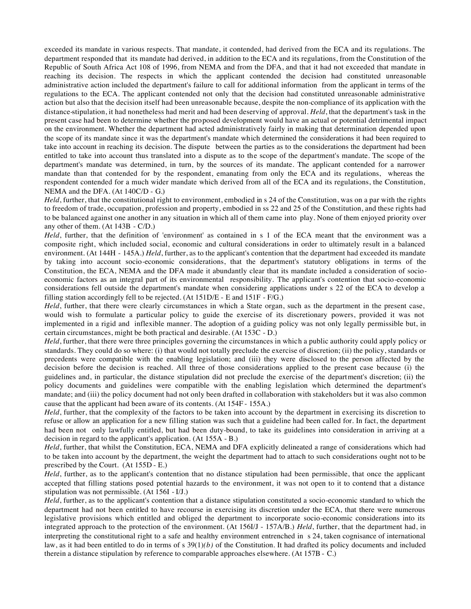exceeded its mandate in various respects. That mandate, it contended, had derived from the ECA and its regulations. The department responded that its mandate had derived, in addition to the ECA and its regulations, from the Constitution of the Republic of South Africa Act 108 of 1996, from NEMA and from the DFA, and that it had not exceeded that mandate in reaching its decision. The respects in which the applicant contended the decision had constituted unreasonable administrative action included the department's failure to call for additional information from the applicant in terms of the regulations to the ECA. The applicant contended not only that the decision had constituted unreasonable administrative action but also that the decision itself had been unreasonable because, despite the non-compliance of its application with the distance-stipulation, it had nonetheless had merit and had been deserving of approval. *Held*, that the department's task in the present case had been to determine whether the proposed development would have an actual or potential detrimental impact on the environment. Whether the department had acted administratively fairly in making that determination depended upon the scope of its mandate since it was the department's mandate which determined the considerations it had been required to take into account in reaching its decision. The dispute between the parties as to the considerations the department had been entitled to take into account thus translated into a dispute as to the scope of the department's mandate. The scope of the department's mandate was determined, in turn, by the sources of its mandate. The applicant contended for a narrower mandate than that contended for by the respondent, emanating from only the ECA and its regulations, whereas the respondent contended for a much wider mandate which derived from all of the ECA and its regulations, the Constitution, NEMA and the DFA. (At 140C/D - G.)

*Held*, further, that the constitutional right to environment, embodied in s 24 of the Constitution, was on a par with the rights to freedom of trade, occupation, profession and property, embodied in ss 22 and 25 of the Constitution, and these rights had to be balanced against one another in any situation in which all of them came into play. None of them enjoyed priority over any other of them. (At 143B - C/D.)

*Held*, further, that the definition of 'environment' as contained in s 1 of the ECA meant that the environment was a composite right, which included social, economic and cultural considerations in order to ultimately result in a balanced environment. (At 144H - 145A.) *Held*, further, as to the applicant's contention that the department had exceeded its mandate by taking into account socio-economic considerations, that the department's statutory obligations in terms of the Constitution, the ECA, NEMA and the DFA made it abundantly clear that its mandate included a consideration of socioeconomic factors as an integral part of its environmental responsibility. The applicant's contention that socio-economic considerations fell outside the department's mandate when considering applications under s 22 of the ECA to develop a filling station accordingly fell to be rejected. (At 151D/E - E and 151F - F/G.)

*Held*, further, that there were clearly circumstances in which a State organ, such as the department in the present case, would wish to formulate a particular policy to guide the exercise of its discretionary powers, provided it was not implemented in a rigid and inflexible manner. The adoption of a guiding policy was not only legally permissible but, in certain circumstances, might be both practical and desirable. (At 153C - D.)

*Held*, further, that there were three principles governing the circumstances in which a public authority could apply policy or standards. They could do so where: (i) that would not totally preclude the exercise of discretion; (ii) the policy, standards or precedents were compatible with the enabling legislation; and (iii) they were disclosed to the person affected by the decision before the decision is reached. All three of those considerations applied to the present case because (i) the guidelines and, in particular, the distance stipulation did not preclude the exercise of the department's discretion; (ii) the policy documents and guidelines were compatible with the enabling legislation which determined the department's mandate; and (iii) the policy document had not only been drafted in collaboration with stakeholders but it was also common cause that the applicant had been aware of its contents. (At 154F - 155A.)

*Held*, further, that the complexity of the factors to be taken into account by the department in exercising its discretion to refuse or allow an application for a new filling station was such that a guideline had been called for. In fact, the department had been not only lawfully entitled, but had been duty-bound, to take its guidelines into consideration in arriving at a decision in regard to the applicant's application. (At 155A - B.)

*Held*, further, that whilst the Constitution, ECA, NEMA and DFA explicitly delineated a range of considerations which had to be taken into account by the department, the weight the department had to attach to such considerations ought not to be prescribed by the Court. (At 155D - E.)

*Held*, further, as to the applicant's contention that no distance stipulation had been permissible, that once the applicant accepted that filling stations posed potential hazards to the environment, it was not open to it to contend that a distance stipulation was not permissible. (At 156I - I/J.)

*Held*, further, as to the applicant's contention that a distance stipulation constituted a socio-economic standard to which the department had not been entitled to have recourse in exercising its discretion under the ECA, that there were numerous legislative provisions which entitled and obliged the department to incorporate socio-economic considerations into its integrated approach to the protection of the environment. (At 156I/J - 157A/B.) *Held*, further, that the department had, in interpreting the constitutional right to a safe and healthy environment entrenched in s 24, taken cognisance of international law, as it had been entitled to do in terms of s  $39(1)(b)$  of the Constitution. It had drafted its policy documents and included therein a distance stipulation by reference to comparable approaches elsewhere. (At 157B - C.)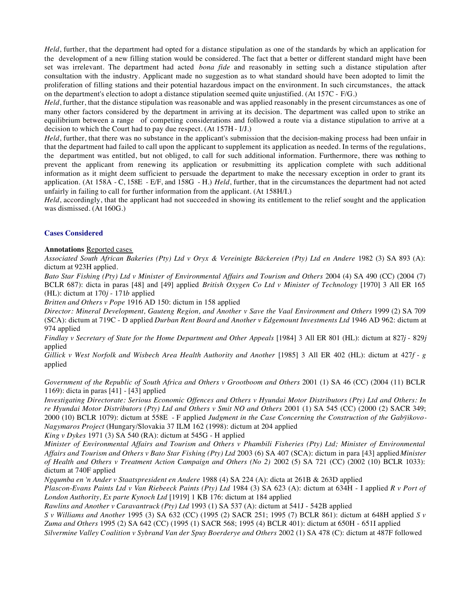*Held*, further, that the department had opted for a distance stipulation as one of the standards by which an application for the development of a new filling station would be considered. The fact that a better or different standard might have been set was irrelevant. The department had acted *bona fide* and reasonably in setting such a distance stipulation after consultation with the industry. Applicant made no suggestion as to what standard should have been adopted to limit the proliferation of filling stations and their potential hazardous impact on the environment. In such circumstances, the attack on the department's election to adopt a distance stipulation seemed quite unjustified. (At 157C - F/G.)

*Held*, further, that the distance stipulation was reasonable and was applied reasonably in the present circumstances as one of many other factors considered by the department in arriving at its decision. The department was called upon to strike an equilibrium between a range of competing considerations and followed a route via a distance stipulation to arrive at a decision to which the Court had to pay due respect. (At 157H - I/J.)

*Held*, further, that there was no substance in the applicant's submission that the decision-making process had been unfair in that the department had failed to call upon the applicant to supplement its application as needed. In terms of the regulations, the department was entitled, but not obliged, to call for such additional information. Furthermore, there was nothing to prevent the applicant from renewing its application or resubmitting its application complete with such additional information as it might deem sufficient to persuade the department to make the necessary exception in order to grant its application. (At 158A - C, 158E - E/F, and 158G - H.) *Held*, further, that in the circumstances the department had not acted unfairly in failing to call for further information from the applicant. (At 158H/I.)

*Held*, accordingly, that the applicant had not succeeded in showing its entitlement to the relief sought and the application was dismissed. (At 160G.)

# **Cases Considered**

## **Annotations** Reported cases

*Associated South African Bakeries (Pty) Ltd v Oryx & Vereinigte Bäckereien (Pty) Ltd en Andere* 1982 (3) SA 893 (A): dictum at 923H applied.

*Bato Star Fishing (Pty) Ltd v Minister of Environmental Affairs and Tourism and Others* 2004 (4) SA 490 (CC) (2004 (7) BCLR 687): dicta in paras [48] and [49] applied *British Oxygen Co Ltd v Minister of Technology* [1970] 3 All ER 165 (HL): dictum at 170*j* - 171*b* applied

*Britten and Others v Pope* 1916 AD 150: dictum in 158 applied

*Director: Mineral Development, Gauteng Region, and Another v Save the Vaal Environment and Others* 1999 (2) SA 709 (SCA): dictum at 719C - D applied *Durban Rent Board and Another v Edgemount Investments Ltd* 1946 AD 962: dictum at 974 applied

*Findlay v Secretary of State for the Home Department and Other Appeals* [1984] 3 All ER 801 (HL): dictum at 827*j* - 829*j* applied

*Gillick v West Norfolk and Wisbech Area Health Authority and Another* [1985] 3 All ER 402 (HL): dictum at 427*f* - *g* applied

*Government of the Republic of South Africa and Others v Grootboom and Others* 2001 (1) SA 46 (CC) (2004 (11) BCLR 1169): dicta in paras [41] - [43] applied

*Investigating Directorate: Serious Economic Offences and Others v Hyundai Motor Distributors (Pty) Ltd and Others: In re Hyundai Motor Distributors (Pty) Ltd and Others v Smit NO and Others* 2001 (1) SA 545 (CC) (2000 (2) SACR 349; 2000 (10) BCLR 1079): dictum at 558E - F applied *Judgment in the Case Concerning the Construction of the Gabÿikovo-Nagymaros Project* (Hungary/Slovakia 37 ILM 162 (1998): dictum at 204 applied

*King v Dykes* 1971 (3) SA 540 (RA): dictum at 545G - H applied

*Minister of Environmental Affairs and Tourism and Others v Phambili Fisheries (Pty) Ltd; Minister of Environmental Affairs and Tourism and Others v Bato Star Fishing (Pty) Ltd* 2003 (6) SA 407 (SCA): dictum in para [43] applied *Minister of Health and Others v Treatment Action Campaign and Others (No 2)* 2002 (5) SA 721 (CC) (2002 (10) BCLR 1033): dictum at 740F applied

*Ngqumba en 'n Ander v Staatspresident en Andere* 1988 (4) SA 224 (A): dicta at 261B & 263D applied

*Plascon-Evans Paints Ltd v Van Riebeeck Paints (Pty) Ltd* 1984 (3) SA 623 (A): dictum at 634H - I applied *R v Port of London Authority, Ex parte Kynoch Ltd* [1919] 1 KB 176: dictum at 184 applied

*Rawlins and Another v Caravantruck (Pty) Ltd* 1993 (1) SA 537 (A): dictum at 541J - 542B applied

*S v Williams and Another* 1995 (3) SA 632 (CC) (1995 (2) SACR 251; 1995 (7) BCLR 861): dictum at 648H applied *S v Zuma and Others* 1995 (2) SA 642 (CC) (1995 (1) SACR 568; 1995 (4) BCLR 401): dictum at 650H - 651I applied *Silvermine Valley Coalition v Sybrand Van der Spuy Boerderye and Others* 2002 (1) SA 478 (C): dictum at 487F followed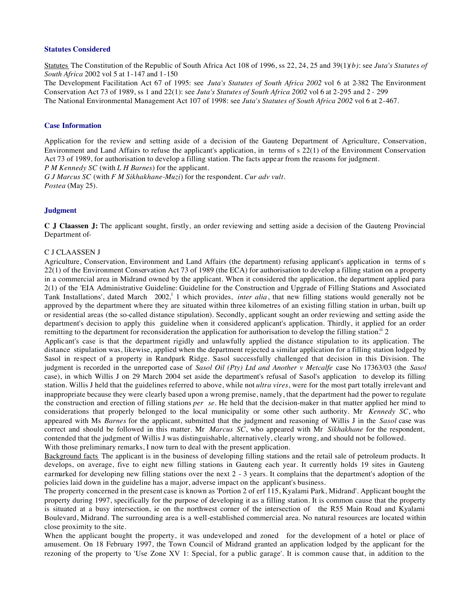#### **Statutes Considered**

Statutes The Constitution of the Republic of South Africa Act 108 of 1996, ss 22, 24, 25 and 39(1)*(b)*: see *Juta's Statutes of South Africa* 2002 vol 5 at 1-147 and 1-150

The Development Facilitation Act 67 of 1995: see *Juta's Statutes of South Africa 2002* vol 6 at 2-382 The Environment Conservation Act 73 of 1989, ss 1 and 22(1): see *Juta's Statutes of South Africa 2002* vol 6 at 2-295 and 2 - 299 The National Environmental Management Act 107 of 1998: see *Juta's Statutes of South Africa 2002* vol 6 at 2-467.

#### **Case Information**

Application for the review and setting aside of a decision of the Gauteng Department of Agriculture, Conservation, Environment and Land Affairs to refuse the applicant's application, in terms of s 22(1) of the Environment Conservation Act 73 of 1989, for authorisation to develop a filling station. The facts appear from the reasons for judgment. *P M Kennedy SC* (with *L H Barnes*) for the applicant.

*G J Marcus SC* (with *F M Sikhakhane-Muzi*) for the respondent. *Cur adv vult. Postea* (May 25).

#### **Judgment**

**C J Claassen J:** The applicant sought, firstly, an order reviewing and setting aside a decision of the Gauteng Provincial Department of-

#### C J CLAASSEN J

Agriculture, Conservation, Environment and Land Affairs (the department) refusing applicant's application in terms of s 22(1) of the Environment Conservation Act 73 of 1989 (the ECA) for authorisation to develop a filling station on a property in a commercial area in Midrand owned by the applicant. When it considered the application, the department applied para 2(1) of the 'EIA Administrative Guideline: Guideline for the Construction and Upgrade of Filling Stations and Associated Tank Installations', dated March 2002,<sup>i</sup> 1 which provides, *inter alia*, that new filling stations would generally not be approved by the department where they are situated within three kilometres of an existing filling station in urban, built up or residential areas (the so-called distance stipulation). Secondly, applicant sought an order reviewing and setting aside the department's decision to apply this guideline when it considered applicant's application. Thirdly, it applied for an order remitting to the department for reconsideration the application for authorisation to develop the filling station.<sup>ii</sup> 2

Applicant's case is that the department rigidly and unlawfully applied the distance stipulation to its application. The distance stipulation was, likewise, applied when the department rejected a similar application for a filling station lodged by Sasol in respect of a property in Randpark Ridge. Sasol successfully challenged that decision in this Division. The judgment is recorded in the unreported case of *Sasol Oil (Pty) Ltd and Another v Metcalfe* case No 17363/03 (the *Sasol* case), in which Willis J on 29 March 2004 set aside the department's refusal of Sasol's application to develop its filling station. Willis J held that the guidelines referred to above, while not *ultra vires*, were for the most part totally irrelevant and inappropriate because they were clearly based upon a wrong premise, namely, that the department had the power to regulate the construction and erection of filling stations *per se*. He held that the decision-maker in that matter applied her mind to considerations that properly belonged to the local municipality or some other such authority. Mr *Kennedy SC*, who appeared with Ms *Barnes* for the applicant, submitted that the judgment and reasoning of Willis J in the *Sasol* case was correct and should be followed in this matter. Mr *Marcus SC*, who appeared with Mr *Sikhakhane* for the respondent, contended that the judgment of Willis J was distinguishable, alternatively, clearly wrong, and should not be followed. With those preliminary remarks, I now turn to deal with the present application.

Background facts The applicant is in the business of developing filling stations and the retail sale of petroleum products. It

develops, on average, five to eight new filling stations in Gauteng each year. It currently holds 19 sites in Gauteng earmarked for developing new filling stations over the next 2 - 3 years. It complains that the department's adoption of the policies laid down in the guideline has a major, adverse impact on the applicant's business.

The property concerned in the present case is known as 'Portion 2 of erf 115, Kyalami Park, Midrand'. Applicant bought the property during 1997, specifically for the purpose of developing it as a filling station. It is common cause that the property is situated at a busy intersection, ie on the northwest corner of the intersection of the R55 Main Road and Kyalami Boulevard, Midrand. The surrounding area is a well-established commercial area. No natural resources are located within close proximity to the site.

When the applicant bought the property, it was undeveloped and zoned for the development of a hotel or place of amusement. On 18 February 1997, the Town Council of Midrand granted an application lodged by the applicant for the rezoning of the property to 'Use Zone XV 1: Special, for a public garage'. It is common cause that, in addition to the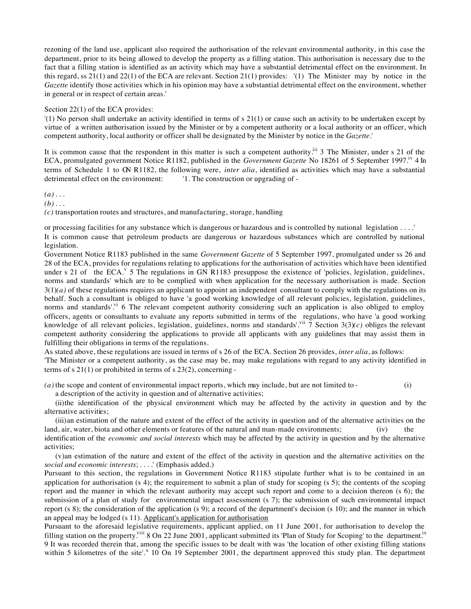rezoning of the land use, applicant also required the authorisation of the relevant environmental authority, in this case the department, prior to its being allowed to develop the property as a filling station. This authorisation is necessary due to the fact that a filling station is identified as an activity which may have a substantial detrimental effect on the environment. In this regard, ss 21(1) and 22(1) of the ECA are relevant. Section 21(1) provides: '(1) The Minister may by notice in the *Gazette* identify those activities which in his opinion may have a substantial detrimental effect on the environment, whether in general or in respect of certain areas.'

#### Section 22(1) of the ECA provides:

'(1) No person shall undertake an activity identified in terms of s 21(1) or cause such an activity to be undertaken except by virtue of a written authorisation issued by the Minister or by a competent authority or a local authority or an officer, which competent authority, local authority or officer shall be designated by the Minister by notice in the *Gazette*.'

It is common cause that the respondent in this matter is such a competent authority.<sup>iii</sup> 3 The Minister, under s 21 of the ECA, promulgated government Notice R1182, published in the *Government Gazette* No 18261 of 5 September 1997.iv 4 In terms of Schedule 1 to GN R1182, the following were, *inter alia*, identified as activities which may have a substantial detrimental effect on the environment: '1. The construction or upgrading of -

#### $(a)$ ...

 $(b)$ ...

*(c)* transportation routes and structures, and manufacturing, storage, handling

or processing facilities for any substance which is dangerous or hazardous and is controlled by national legislation . . . .' It is common cause that petroleum products are dangerous or hazardous substances which are controlled by national legislation.

Government Notice R1183 published in the same *Government Gazette* of 5 September 1997, promulgated under ss 26 and 28 of the ECA, provides for regulations relating to applications for the authorisation of activities which have been identified under s 21 of the ECA.<sup>v</sup> 5 The regulations in GN R1183 presuppose the existence of 'policies, legislation, guidelines, norms and standards' which are to be complied with when application for the necessary authorisation is made. Section 3(1)*(a)* of these regulations requires an applicant to appoint an independent consultant to comply with the regulations on its behalf. Such a consultant is obliged to have 'a good working knowledge of all relevant policies, legislation, guidelines, norms and standards'. $v_1$  6 The relevant competent authority considering such an application is also obliged to employ officers, agents or consultants to evaluate any reports submitted in terms of the regulations, who have 'a good working knowledge of all relevant policies, legislation, guidelines, norms and standards'.<sup>vii</sup> 7 Section 3(3)(c) obliges the relevant competent authority considering the applications to provide all applicants with any guidelines that may assist them in fulfilling their obligations in terms of the regulations.

As stated above, these regulations are issued in terms of s 26 of the ECA. Section 26 provides, *inter alia*, as follows:

'The Minister or a competent authority, as the case may be, may make regulations with regard to any activity identified in terms of s  $21(1)$  or prohibited in terms of s  $23(2)$ , concerning -

*(a)* the scope and content of environmental impact reports, which may include, but are not limited to - (i)

a description of the activity in question and of alternative activities;

(ii)the identification of the physical environment which may be affected by the activity in question and by the alternative activities:

(iii)an estimation of the nature and extent of the effect of the activity in question and of the alternative activities on the land, air, water, biota and other elements or features of the natural and man-made environments; (iv) the

identification of the *economic and social interests* which may be affected by the activity in question and by the alternative activities;

(v)an estimation of the nature and extent of the effect of the activity in question and the alternative activities on the *social and economic interests*; . . . .' (Emphasis added.)

Pursuant to this section, the regulations in Government Notice R1183 stipulate further what is to be contained in an application for authorisation (s 4); the requirement to submit a plan of study for scoping (s 5); the contents of the scoping report and the manner in which the relevant authority may accept such report and come to a decision thereon (s 6); the submission of a plan of study for environmental impact assessment (s 7); the submission of such environmental impact report (s 8); the consideration of the application (s 9); a record of the department's decision (s 10); and the manner in which an appeal may be lodged (s 11). Applicant's application for authorisation

Pursuant to the aforesaid legislative requirements, applicant applied, on 11 June 2001, for authorisation to develop the filling station on the property.<sup>viii</sup> 8 On 22 June 2001, applicant submitted its 'Plan of Study for Scoping' to the department.<sup>ix</sup> 9 It was recorded therein that, among the specific issues to be dealt with was 'the location of other existing filling stations within 5 kilometres of the site'.<sup>x</sup> 10 On 19 September 2001, the department approved this study plan. The department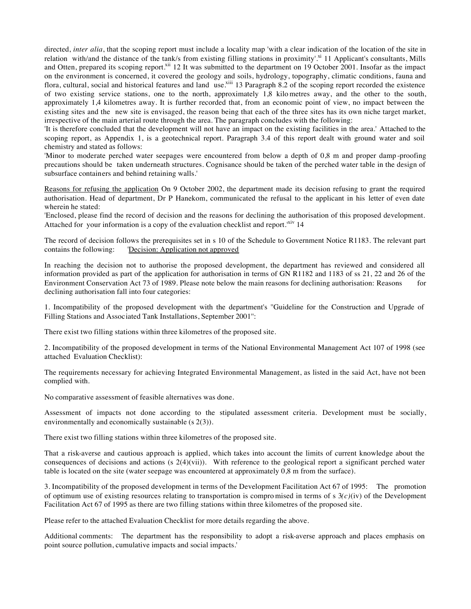directed, *inter alia*, that the scoping report must include a locality map 'with a clear indication of the location of the site in relation with/and the distance of the tank/s from existing filling stations in proximity'.<sup>xi</sup> 11 Applicant's consultants, Mills and Otten, prepared its scoping report.<sup>xii</sup> 12 It was submitted to the department on 19 October 2001. Insofar as the impact on the environment is concerned, it covered the geology and soils, hydrology, topography, climatic conditions, fauna and flora, cultural, social and historical features and land use.<sup>xiii</sup> 13 Paragraph 8.2 of the scoping report recorded the existence of two existing service stations, one to the north, approximately 1,8 kilo metres away, and the other to the south, approximately 1,4 kilometres away. It is further recorded that, from an economic point of view, no impact between the existing sites and the new site is envisaged, the reason being that each of the three sites has its own niche target market, irrespective of the main arterial route through the area. The paragraph concludes with the following:

'It is therefore concluded that the development will not have an impact on the existing facilities in the area.' Attached to the scoping report, as Appendix 1, is a geotechnical report. Paragraph 3.4 of this report dealt with ground water and soil chemistry and stated as follows:

'Minor to moderate perched water seepages were encountered from below a depth of 0,8 m and proper damp -proofing precautions should be taken underneath structures. Cognisance should be taken of the perched water table in the design of subsurface containers and behind retaining walls.'

Reasons for refusing the application On 9 October 2002, the department made its decision refusing to grant the required authorisation. Head of department, Dr P Hanekom, communicated the refusal to the applicant in his letter of even date wherein he stated:

'Enclosed, please find the record of decision and the reasons for declining the authorisation of this proposed development. Attached for your information is a copy of the evaluation checklist and report. $x^i$ <sup>xiv</sup> 14

The record of decision follows the prerequisites set in s 10 of the Schedule to Government Notice R1183. The relevant part contains the following: 'Decision: Application not approved

In reaching the decision not to authorise the proposed development, the department has reviewed and considered all information provided as part of the application for authorisation in terms of GN R1182 and 1183 of ss 21, 22 and 26 of the Environment Conservation Act 73 of 1989. Please note below the main reasons for declining authorisation: Reasons for declining authorisation fall into four categories:

1. Incompatibility of the proposed development with the department's ''Guideline for the Construction and Upgrade of Filling Stations and Associated Tank Installations, September 2001'':

There exist two filling stations within three kilometres of the proposed site.

2. Incompatibility of the proposed development in terms of the National Environmental Management Act 107 of 1998 (see attached Evaluation Checklist):

The requirements necessary for achieving Integrated Environmental Management, as listed in the said Act, have not been complied with.

No comparative assessment of feasible alternatives was done.

Assessment of impacts not done according to the stipulated assessment criteria. Development must be socially, environmentally and economically sustainable (s 2(3)).

There exist two filling stations within three kilometres of the proposed site.

That a risk-averse and cautious approach is applied, which takes into account the limits of current knowledge about the consequences of decisions and actions (s  $2(4)(vii)$ ). With reference to the geological report a significant perched water table is located on the site (water seepage was encountered at approximately 0,8 m from the surface).

3. Incompatibility of the proposed development in terms of the Development Facilitation Act 67 of 1995: The promotion of optimum use of existing resources relating to transportation is compro mised in terms of s 3*(c)*(iv) of the Development Facilitation Act 67 of 1995 as there are two filling stations within three kilometres of the proposed site.

Please refer to the attached Evaluation Checklist for more details regarding the above.

Additional comments: The department has the responsibility to adopt a risk-averse approach and places emphasis on point source pollution, cumulative impacts and social impacts.'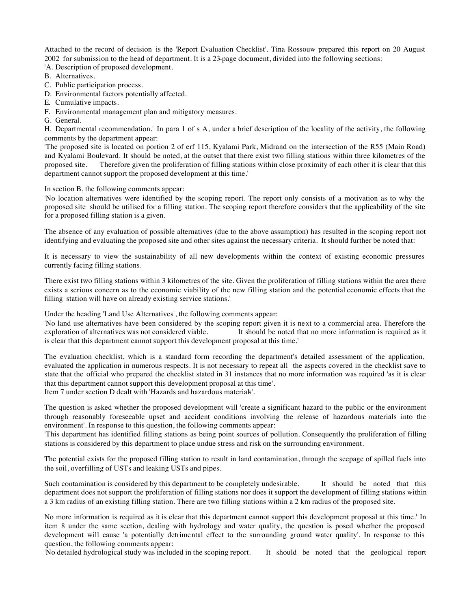Attached to the record of decision is the 'Report Evaluation Checklist'. Tina Rossouw prepared this report on 20 August 2002 for submission to the head of department. It is a 23-page document, divided into the following sections: 'A. Description of proposed development.

B. Alternatives.

- C. Public participation process.
- D. Environmental factors potentially affected.
- E. Cumulative impacts.
- F. Environmental management plan and mitigatory measures.
- G. General.

H. Departmental recommendation.' In para 1 of s A, under a brief description of the locality of the activity, the following comments by the department appear:

'The proposed site is located on portion 2 of erf 115, Kyalami Park, Midrand on the intersection of the R55 (Main Road) and Kyalami Boulevard. It should be noted, at the outset that there exist two filling stations within three kilometres of the proposed site. Therefore given the proliferation of filling stations within close proximity of each other it is clear that this department cannot support the proposed development at this time.'

## In section B, the following comments appear:

'No location alternatives were identified by the scoping report. The report only consists of a motivation as to why the proposed site should be utilised for a filling station. The scoping report therefore considers that the applicability of the site for a proposed filling station is a given.

The absence of any evaluation of possible alternatives (due to the above assumption) has resulted in the scoping report not identifying and evaluating the proposed site and other sites against the necessary criteria. It should further be noted that:

It is necessary to view the sustainability of all new developments within the context of existing economic pressures currently facing filling stations.

There exist two filling stations within 3 kilometres of the site. Given the proliferation of filling stations within the area there exists a serious concern as to the economic viability of the new filling station and the potential economic effects that the filling station will have on already existing service stations.'

Under the heading 'Land Use Alternatives', the following comments appear:

'No land use alternatives have been considered by the scoping report given it is next to a commercial area. Therefore the It should be noted that no more information is required as it is clear that this department cannot support this development proposal at this time.'

The evaluation checklist, which is a standard form recording the department's detailed assessment of the application, evaluated the application in numerous respects. It is not necessary to repeat all the aspects covered in the checklist save to state that the official who prepared the checklist stated in 31 instances that no more information was required 'as it is clear that this department cannot support this development proposal at this time'. Item 7 under section D dealt with 'Hazards and hazardous materials'.

The question is asked whether the proposed development will 'create a significant hazard to the public or the environment through reasonably foreseeable upset and accident conditions involving the release of hazardous materials into the environment'. In response to this question, the following comments appear:

'This department has identified filling stations as being point sources of pollution. Consequently the proliferation of filling stations is considered by this department to place undue stress and risk on the surrounding environment.

The potential exists for the proposed filling station to result in land contamination, through the seepage of spilled fuels into the soil, overfilling of USTs and leaking USTs and pipes.

Such contamination is considered by this department to be completely undesirable. It should be noted that this department does not support the proliferation of filling stations nor does it support the development of filling stations within a 3 km radius of an existing filling station. There are two filling stations within a 2 km radius of the proposed site.

No more information is required as it is clear that this department cannot support this development proposal at this time.' In item 8 under the same section, dealing with hydrology and water quality, the question is posed whether the proposed development will cause 'a potentially detrimental effect to the surrounding ground water quality'. In response to this question, the following comments appear:

'No detailed hydrological study was included in the scoping report. It should be noted that the geological report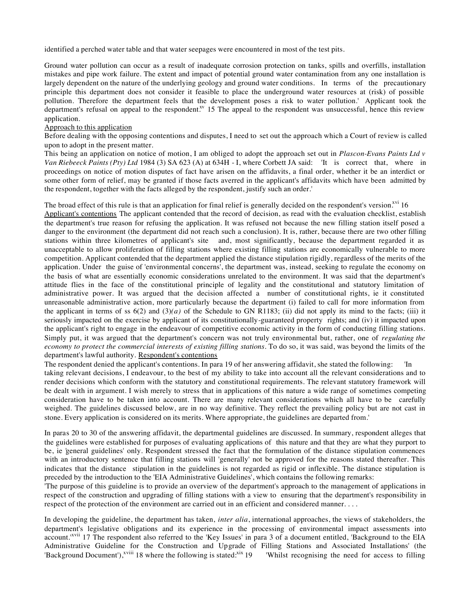identified a perched water table and that water seepages were encountered in most of the test pits.

Ground water pollution can occur as a result of inadequate corrosion protection on tanks, spills and overfills, installation mistakes and pipe work failure. The extent and impact of potential ground water contamination from any one installation is largely dependent on the nature of the underlying geology and ground water conditions. In terms of the precautionary principle this department does not consider it feasible to place the underground water resources at (risk) of possible pollution. Therefore the department feels that the development poses a risk to water pollution.' Applicant took the department's refusal on appeal to the respondent.<sup>xv</sup> 15 The appeal to the respondent was unsuccessful, hence this review application.

### Approach to this application

Before dealing with the opposing contentions and disputes, I need to set out the approach which a Court of review is called upon to adopt in the present matter.

This being an application on notice of motion, I am obliged to adopt the approach set out in *Plascon-Evans Paints Ltd v Van Riebeeck Paints (Pty) Ltd* 1984 (3) SA 623 (A) at 634H - I, where Corbett JA said: 'It is correct that, where in proceedings on notice of motion disputes of fact have arisen on the affidavits, a final order, whether it be an interdict or some other form of relief, may be granted if those facts averred in the applicant's affidavits which have been admitted by the respondent, together with the facts alleged by the respondent, justify such an order.'

The broad effect of this rule is that an application for final relief is generally decided on the respondent's version.<sup>xvi</sup> 16 Applicant's contentions The applicant contended that the record of decision, as read with the evaluation checklist, establish the department's true reason for refusing the application. It was refused not because the new filling station itself posed a danger to the environment (the department did not reach such a conclusion). It is, rather, because there are two other filling stations within three kilometres of applicant's site and, most significantly, because the department regarded it as unacceptable to allow proliferation of filling stations where existing filling stations are economically vulnerable to more competition. Applicant contended that the department applied the distance stipulation rigidly, regardless of the merits of the application. Under the guise of 'environmental concerns', the department was, instead, seeking to regulate the economy on the basis of what are essentially economic considerations unrelated to the environment. It was said that the department's attitude flies in the face of the constitutional principle of legality and the constitutional and statutory limitation of administrative power. It was argued that the decision affected a number of constitutional rights, ie it constituted unreasonable administrative action, more particularly because the department (i) failed to call for more information from the applicant in terms of ss  $6(2)$  and  $(3)(a)$  of the Schedule to GN R1183; (ii) did not apply its mind to the facts; (iii) it seriously impacted on the exercise by applicant of its constitutionally-guaranteed property rights; and (iv) it impacted upon the applicant's right to engage in the endeavour of competitive economic activity in the form of conducting filling stations. Simply put, it was argued that the department's concern was not truly environmental but, rather, one of *regulating the economy to protect the commercial interests of existing filling stations.* To do so, it was said, was beyond the limits of the department's lawful authority. Respondent's contentions

The respondent denied the applicant's contentions. In para 19 of her answering affidavit, she stated the following: 'In taking relevant decisions, I endeavour, to the best of my ability to take into account all the relevant considerations and to render decisions which conform with the statutory and constitutional requirements. The relevant statutory framework will be dealt with in argument. I wish merely to stress that in applications of this nature a wide range of sometimes competing consideration have to be taken into account. There are many relevant considerations which all have to be carefully weighed. The guidelines discussed below, are in no way definitive. They reflect the prevailing policy but are not cast in stone. Every application is considered on its merits. Where appropriate, the guidelines are departed from.'

In paras 20 to 30 of the answering affidavit, the departmental guidelines are discussed. In summary, respondent alleges that the guidelines were established for purposes of evaluating applications of this nature and that they are what they purport to be, ie 'general guidelines' only. Respondent stressed the fact that the formulation of the distance stipulation commences with an introductory sentence that filling stations will 'generally' not be approved for the reasons stated thereafter. This indicates that the distance stipulation in the guidelines is not regarded as rigid or inflexible. The distance stipulation is preceded by the introduction to the 'EIA Administrative Guidelines', which contains the following remarks:

'The purpose of this guideline is to provide an overview of the department's approach to the management of applications in respect of the construction and upgrading of filling stations with a view to ensuring that the department's responsibility in respect of the protection of the environment are carried out in an efficient and considered manner. . . .

In developing the guideline, the department has taken, *inter alia*, international approaches, the views of stakeholders, the department's legislative obligations and its experience in the processing of environmental impact assessments into account.<sup>'xvii</sup> 17 The respondent also referred to the 'Key Issues' in para 3 of a document entitled, 'Background to the EIA Administrative Guideline for the Construction and Upgrade of Filling Stations and Associated Installations' (the 'Background Document'),<sup>xviii</sup> 18 where the following is stated:<sup>xix</sup> 19 'Whilst recognising the need for access to filling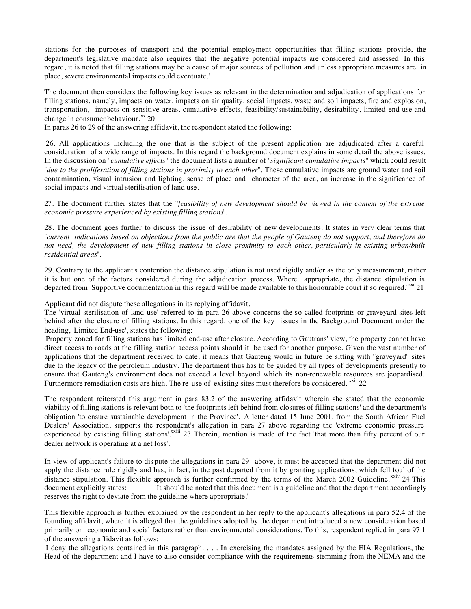stations for the purposes of transport and the potential employment opportunities that filling stations provide, the department's legislative mandate also requires that the negative potential impacts are considered and assessed. In this regard, it is noted that filling stations may be a cause of major sources of pollution and unless appropriate measures are in place, severe environmental impacts could eventuate.'

The document then considers the following key issues as relevant in the determination and adjudication of applications for filling stations, namely, impacts on water, impacts on air quality, social impacts, waste and soil impacts, fire and explosion, transportation, impacts on sensitive areas, cumulative effects, feasibility/sustainability, desirability, limited end-use and change in consumer behaviour. $^{xx}$  20

In paras 26 to 29 of the answering affidavit, the respondent stated the following:

'26. All applications including the one that is the subject of the present application are adjudicated after a careful consideration of a wide range of impacts. In this regard the background document explains in some detail the above issues. In the discussion on ''*cumulative effects*'' the document lists a number of ''*significant cumulative impacts*'' which could result ''*due to the proliferation of filling stations in proximity to each other*''. These cumulative impacts are ground water and soil contamination, visual intrusion and lighting, sense of place and character of the area, an increase in the significance of social impacts and virtual sterilisation of land use.

27. The document further states that the ''*feasibility of new development should be viewed in the context of the extreme economic pressure experienced by existing filling stations*''.

28. The document goes further to discuss the issue of desirability of new developments. It states in very clear terms that ''*current indications based on objections from the public are that the people of Gauteng do not support, and therefore do not need, the development of new filling stations in close proximity to each other, particularly in existing urban/built residential areas*''.

29. Contrary to the applicant's contention the distance stipulation is not used rigidly and/or as the only measurement, rather it is but one of the factors considered during the adjudication process. Where appropriate, the distance stipulation is departed from. Supportive documentation in this regard will be made available to this honourable court if so required.<sup> $rxi$ </sup> 21

Applicant did not dispute these allegations in its replying affidavit.

The 'virtual sterilisation of land use' referred to in para 26 above concerns the so-called footprints or graveyard sites left behind after the closure of filling stations. In this regard, one of the key issues in the Background Document under the heading, 'Limited End-use', states the following:

'Property zoned for filling stations has limited end-use after closure. According to Gautrans' view, the property cannot have direct access to roads at the filling station access points should it be used for another purpose. Given the vast number of applications that the department received to date, it means that Gauteng would in future be sitting with ''graveyard'' sites due to the legacy of the petroleum industry. The department thus has to be guided by all types of developments presently to ensure that Gauteng's environment does not exceed a level beyond which its non-renewable resources are jeopardised. Furthermore remediation costs are high. The re-use of existing sites must therefore be considered.<sup>xxii</sup> 22

The respondent reiterated this argument in para 83.2 of the answering affidavit wherein she stated that the economic viability of filling stations is relevant both to 'the footprints left behind from closures of filling stations' and the department's obligation 'to ensure sustainable development in the Province'. A letter dated 15 June 2001, from the South African Fuel Dealers' Association, supports the respondent's allegation in para 27 above regarding the 'extreme economic pressure experienced by existing filling stations'.<sup>xxiii</sup> 23 Therein, mention is made of the fact 'that more than fifty percent of our dealer network is operating at a net loss'.

In view of applicant's failure to dis pute the allegations in para 29 above, it must be accepted that the department did not apply the distance rule rigidly and has, in fact, in the past departed from it by granting applications, which fell foul of the distance stipulation. This flexible approach is further confirmed by the terms of the March 2002 Guideline.<sup>xxiv</sup> 24 This document explicitly states: 'It should be noted that this document is a guideline and that the department accordingly reserves the right to deviate from the guideline where appropriate.'

This flexible approach is further explained by the respondent in her reply to the applicant's allegations in para 52.4 of the founding affidavit, where it is alleged that the guidelines adopted by the department introduced a new consideration based primarily on economic and social factors rather than environmental considerations. To this, respondent replied in para 97.1 of the answering affidavit as follows:

'I deny the allegations contained in this paragraph. . . . In exercising the mandates assigned by the EIA Regulations, the Head of the department and I have to also consider compliance with the requirements stemming from the NEMA and the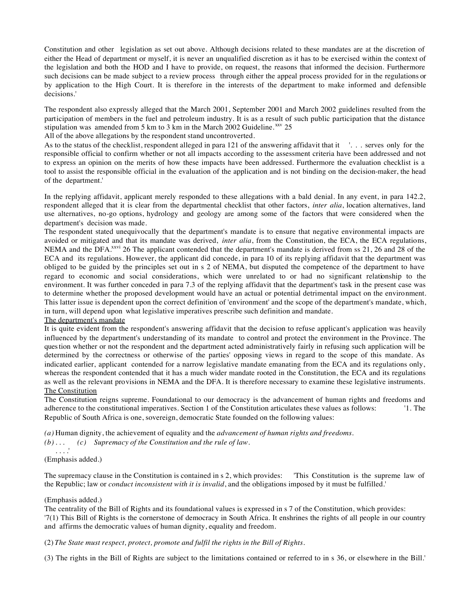Constitution and other legislation as set out above. Although decisions related to these mandates are at the discretion of either the Head of department or myself, it is never an unqualified discretion as it has to be exercised within the context of the legislation and both the HOD and I have to provide, on request, the reasons that informed the decision. Furthermore such decisions can be made subject to a review process through either the appeal process provided for in the regulations or by application to the High Court. It is therefore in the interests of the department to make informed and defensible decisions.'

The respondent also expressly alleged that the March 2001, September 2001 and March 2002 guidelines resulted from the participation of members in the fuel and petroleum industry. It is as a result of such public participation that the distance stipulation was amended from 5 km to 3 km in the March 2002 Guideline. XXV 25

All of the above allegations by the respondent stand uncontroverted.

As to the status of the checklist, respondent alleged in para 121 of the answering affidavit that it '. . . serves only for the responsible official to confirm whether or not all impacts according to the assessment criteria have been addressed and not to express an opinion on the merits of how these impacts have been addressed. Furthermore the evaluation checklist is a tool to assist the responsible official in the evaluation of the application and is not binding on the decision-maker, the head of the department.'

In the replying affidavit, applicant merely responded to these allegations with a bald denial. In any event, in para 142.2, respondent alleged that it is clear from the departmental checklist that other factors, *inter alia*, location alternatives, land use alternatives, no-go options, hydrology and geology are among some of the factors that were considered when the department's decision was made.

The respondent stated unequivocally that the department's mandate is to ensure that negative environmental impacts are avoided or mitigated and that its mandate was derived, *inter alia*, from the Constitution, the ECA, the ECA regulations, NEMA and the DFA<sup>xxvi</sup> 26 The applicant contended that the department's mandate is derived from ss 21, 26 and 28 of the ECA and its regulations. However, the applicant did concede, in para 10 of its replying affidavit that the department was obliged to be guided by the principles set out in s 2 of NEMA, but disputed the competence of the department to have regard to economic and social considerations, which were unrelated to or had no significant relationship to the environment. It was further conceded in para 7.3 of the replying affidavit that the department's task in the present case was to determine whether the proposed development would have an actual or potential detrimental impact on the environment. This latter issue is dependent upon the correct definition of 'environment' and the scope of the department's mandate, which, in turn, will depend upon what legislative imperatives prescribe such definition and mandate.

## The department's mandate

It is quite evident from the respondent's answering affidavit that the decision to refuse applicant's application was heavily influenced by the department's understanding of its mandate to control and protect the environment in the Province. The question whether or not the respondent and the department acted administratively fairly in refusing such application will be determined by the correctness or otherwise of the parties' opposing views in regard to the scope of this mandate. As indicated earlier, applicant contended for a narrow legislative mandate emanating from the ECA and its regulations only, whereas the respondent contended that it has a much wider mandate rooted in the Constitution, the ECA and its regulations as well as the relevant provisions in NEMA and the DFA. It is therefore necessary to examine these legislative instruments. The Constitution

The Constitution reigns supreme. Foundational to our democracy is the advancement of human rights and freedoms and adherence to the constitutional imperatives. Section 1 of the Constitution articulates these values as follows: '1. The Republic of South Africa is one, sovereign, democratic State founded on the following values:

*(a)* Human dignity, the achievement of equality and the *advancement of human rights and freedoms*.

```
(b) . . . (c) Supremacy of the Constitution and the rule of law.
```

```
. . . .' 
(Emphasis added.)
```
The supremacy clause in the Constitution is contained in s 2, which provides: 'This Constitution is the supreme law of the Republic; law or *conduct inconsistent with it is invalid*, and the obligations imposed by it must be fulfilled.'

# (Emphasis added.)

The centrality of the Bill of Rights and its foundational values is expressed in s 7 of the Constitution, which provides: '7(1) This Bill of Rights is the cornerstone of democracy in South Africa. It enshrines the rights of all people in our country and affirms the democratic values of human dignity, equality and freedom.

(2) *The State must respect, protect, promote and fulfil the rights in the Bill of Rights.*

(3) The rights in the Bill of Rights are subject to the limitations contained or referred to in s 36, or elsewhere in the Bill.'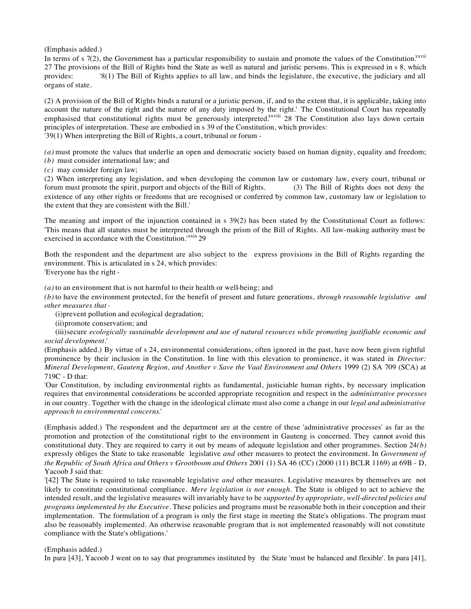(Emphasis added.)

In terms of s  $7(2)$ , the Government has a particular responsibility to sustain and promote the values of the Constitution.<sup>xxvii</sup> 27 The provisions of the Bill of Rights bind the State as well as natural and juristic persons. This is expressed in s 8, which provides: '8(1) The Bill of Rights applies to all law, and binds the legislature, the executive, the judiciary and all organs of state.

(2) A provision of the Bill of Rights binds a natural or a juristic person, if, and to the extent that, it is applicable, taking into account the nature of the right and the nature of any duty imposed by the right.' The Constitutional Court has repeatedly emphasised that constitutional rights must be generously interpreted.<sup>xxviii</sup> 28 The Constitution also lays down certain principles of interpretation. These are embodied in s 39 of the Constitution, which provides: '39(1) When interpreting the Bill of Rights, a court, tribunal or forum -

*(a)* must promote the values that underlie an open and democratic society based on human dignity, equality and freedom;

- *(b)* must consider international law; and
- *(c)* may consider foreign law;

(2) When interpreting any legislation, and when developing the common law or customary law, every court, tribunal or forum must promote the spirit, purport and objects of the Bill of Rights. (3) The Bill of Rights does not deny the existence of any other rights or freedoms that are recognised or conferred by common law, customary law or legislation to the extent that they are consistent with the Bill.'

The meaning and import of the injunction contained in s 39(2) has been stated by the Constitutional Court as follows: 'This means that all statutes must be interpreted through the prism of the Bill of Rights. All law-making authority must be exercised in accordance with the Constitution.<sup>xxix</sup> 29

Both the respondent and the department are also subject to the express provisions in the Bill of Rights regarding the environment. This is articulated in s 24, which provides:

'Everyone has the right -

*(a)* to an environment that is not harmful to their health or well-being; and

*(b)* to have the environment protected, for the benefit of present and future generations, *through reasonable legislative and other measures that -*

(i)prevent pollution and ecological degradation;

(ii)promote conservation; and

(iii)secure *ecologically sustainable development and use of natural resources while promoting justifiable economic and social development*.'

(Emphasis added.) By virtue of s 24, environmental considerations, often ignored in the past, have now been given rightful prominence by their inclusion in the Constitution. In line with this elevation to prominence, it was stated in *Director: Mineral Development, Gauteng Region, and Another v Save the Vaal Environment and Others* 1999 (2) SA 709 (SCA) at 719C - D that:

'Our Constitution, by including environmental rights as fundamental, justiciable human rights, by necessary implication requires that environmental considerations be accorded appropriate recognition and respect in the *administrative processes* in our country. Together with the change in the ideological climate must also come a change in our *legal and administrative approach to environmental concerns*.'

(Emphasis added.) The respondent and the department are at the centre of these 'administrative processes' as far as the promotion and protection of the constitutional right to the environment in Gauteng is concerned. They cannot avoid this constitutional duty. They are required to carry it out by means of adequate legislation and other programmes. Section 24*(b)* expressly obliges the State to take reasonable legislative *and* other measures to protect the environment. In *Government of the Republic of South Africa and Others v Grootboom and Others* 2001 (1) SA 46 (CC) (2000 (11) BCLR 1169) at 69B - D, Yacoob J said that:

'[42] The State is required to take reasonable legislative *and* other measures. Legislative measures by themselves are not likely to constitute constitutional compliance. *Mere legislation is not enough*. The State is obliged to act to achieve the intended result, and the legislative measures will invariably have to be *supported by appropriate, well-directed policies and programs implemented by the Executive*. These policies and programs must be reasonable both in their conception and their implementation. The formulation of a program is only the first stage in meeting the State's obligations. The program must also be reasonably implemented. An otherwise reasonable program that is not implemented reasonably will not constitute compliance with the State's obligations.'

## (Emphasis added.)

In para [43], Yacoob J went on to say that programmes instituted by the State 'must be balanced and flexible'. In para [41],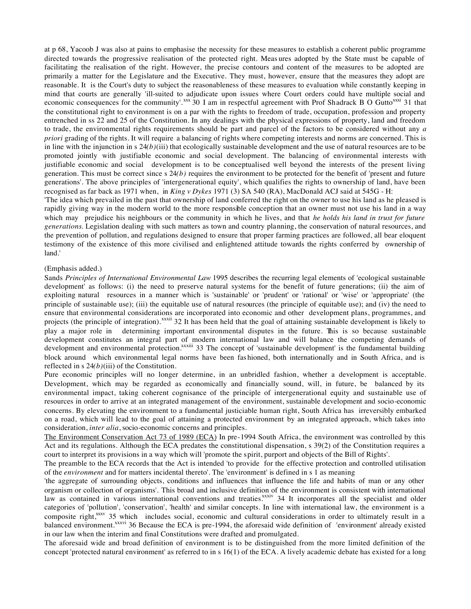at p 68, Yacoob J was also at pains to emphasise the necessity for these measures to establish a coherent public programme directed towards the progressive realisation of the protected right. Meas ures adopted by the State must be capable of facilitating the realisation of the right. However, the precise contours and content of the measures to be adopted are primarily a matter for the Legislature and the Executive. They must, however, ensure that the measures they adopt are reasonable. It is the Court's duty to subject the reasonableness of these measures to evaluation while constantly keeping in mind that courts are generally 'ill-suited to adjudicate upon issues where Court orders could have multiple social and economic consequences for the community'.<sup>xxx</sup> 30 I am in respectful agreement with Prof Shadrack B O Gutto<sup>xxi</sup> 31 that the constitutional right to environment is on a par with the rights to freedom of trade, occupation, profession and property entrenched in ss 22 and 25 of the Constitution. In any dealings with the physical expressions of property, land and freedom to trade, the environmental rights requirements should be part and parcel of the factors to be considered without any *a priori* grading of the rights. It will require a balancing of rights where competing interests and norms are concerned. This is in line with the injunction in s 24*(b)*(iii) that ecologically sustainable development and the use of natural resources are to be promoted jointly with justifiable economic and social development. The balancing of environmental interests with justifiable economic and social development is to be conceptualised well beyond the interests of the present living generation. This must be correct since s 24*(b)* requires the environment to be protected for the benefit of 'present and future generations'. The above principles of 'intergenerational equity', which qualifies the rights to ownership of land, have been recognised as far back as 1971 when, in *King v Dykes* 1971 (3) SA 540 (RA), MacDonald ACJ said at 545G - H:

'The idea which prevailed in the past that ownership of land conferred the right on the owner to use his land as he pleased is rapidly giving way in the modern world to the more responsible conception that an owner must not use his land in a way which may prejudice his neighbours or the community in which he lives, and that *he holds his land in trust for future generations*. Legislation dealing with such matters as town and country planning, the conservation of natural resources, and the prevention of pollution, and regulations designed to ensure that proper farming practices are followed, all bear eloquent testimony of the existence of this more civilised and enlightened attitude towards the rights conferred by ownership of land.'

#### (Emphasis added.)

Sands *Principles of International Environmental Law* 1995 describes the recurring legal elements of 'ecological sustainable development' as follows: (i) the need to preserve natural systems for the benefit of future generations; (ii) the aim of exploiting natural resources in a manner which is 'sustainable' or 'prudent' or 'rational' or 'wise' or 'appropriate' (the principle of sustainable use); (iii) the equitable use of natural resources (the principle of equitable use); and (iv) the need to ensure that environmental considerations are incorporated into economic and other development plans, programmes, and projects (the principle of integration).<sup>xxxii</sup> 32 It has been held that the goal of attaining sustainable development is likely to play a major role in determining important environmental disputes in the future. This is so because sustainable development constitutes an integral part of modern international law and will balance the competing demands of development and environmental protection.<sup>xxxiii</sup> 33 The concept of 'sustainable development' is the fundamental building block around which environmental legal norms have been fas hioned, both internationally and in South Africa, and is reflected in s 24*(b)*(iii) of the Constitution.

Pure economic principles will no longer determine, in an unbridled fashion, whether a development is acceptable. Development, which may be regarded as economically and financially sound, will, in future, be balanced by its environmental impact, taking coherent cognisance of the principle of intergenerational equity and sustainable use of resources in order to arrive at an integrated management of the environment, sustainable development and socio-economic concerns. By elevating the environment to a fundamental justiciable human right, South Africa has irreversibly embarked on a road, which will lead to the goal of attaining a protected environment by an integrated approach, which takes into consideration, *inter alia*, socio-economic concerns and principles.

The Environment Conservation Act 73 of 1989 (ECA) In pre-1994 South Africa, the environment was controlled by this Act and its regulations. Although the ECA predates the constitutional dispensation, s 39(2) of the Constitution requires a court to interpret its provisions in a way which will 'promote the spirit, purport and objects of the Bill of Rights'.

The preamble to the ECA records that the Act is intended 'to provide for the effective protection and controlled utilisation of the *environment* and for matters incidental thereto'. The 'environment' is defined in s 1 as meaning

'the aggregate of surrounding objects, conditions and influences that influence the life and habits of man or any other organism or collection of organisms'. This broad and inclusive definition of the environment is consistent with international law as contained in various international conventions and treaties.<sup>xxiv</sup> 34 It incorporates all the specialist and older categories of 'pollution', 'conservation', 'health' and similar concepts. In line with international law, the environment is a composite right,<sup>xxxv</sup> 35 which includes social, economic and cultural considerations in order to ultimately result in a balanced environment.<sup>xxxvi</sup> 36 Because the ECA is pre-1994, the aforesaid wide definition of 'environment' already existed in our law when the interim and final Constitutions were drafted and promulgated.

The aforesaid wide and broad definition of environment is to be distinguished from the more limited definition of the concept 'protected natural environment' as referred to in s 16(1) of the ECA. A lively academic debate has existed for a long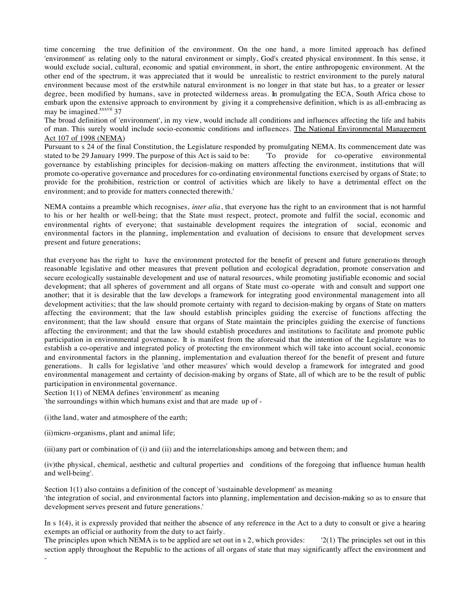time concerning the true definition of the environment. On the one hand, a more limited approach has defined 'environment' as relating only to the natural environment or simply, God's created physical environment. In this sense, it would exclude social, cultural, economic and spatial environment, in short, the entire anthropogenic environment. At the other end of the spectrum, it was appreciated that it would be unrealistic to restrict environment to the purely natural environment because most of the erstwhile natural environment is no longer in that state but has, to a greater or lesser degree, been modified by humans, save in protected wilderness areas. In promulgating the ECA, South Africa chose to embark upon the extensive approach to environment by giving it a comprehensive definition, which is as all-embracing as may be imagined.<sup>xxxvii</sup> 37

The broad definition of 'environment', in my view, would include all conditions and influences affecting the life and habits of man. This surely would include socio-economic conditions and influences. The National Environmental Management Act 107 of 1998 (NEMA)

Pursuant to s 24 of the final Constitution, the Legislature responded by promulgating NEMA. Its commencement date was stated to be 29 January 1999. The purpose of this Act is said to be: "To provide for co-operative environmental governance by establishing principles for decision-making on matters affecting the environment, institutions that will promote co-operative governance and procedures for co-ordinating environmental functions exercised by organs of State; to provide for the prohibition, restriction or control of activities which are likely to have a detrimental effect on the environment; and to provide for matters connected therewith.'

NEMA contains a preamble which recognises, *inter alia*, that everyone has the right to an environment that is not harmful to his or her health or well-being; that the State must respect, protect, promote and fulfil the social, economic and environmental rights of everyone; that sustainable development requires the integration of social, economic and environmental factors in the planning, implementation and evaluation of decisions to ensure that development serves present and future generations;

that everyone has the right to have the environment protected for the benefit of present and future generations through reasonable legislative and other measures that prevent pollution and ecological degradation, promote conservation and secure ecologically sustainable development and use of natural resources, while promoting justifiable economic and social development; that all spheres of government and all organs of State must co-operate with and consult and support one another; that it is desirable that the law develops a framework for integrating good environmental management into all development activities; that the law should promote certainty with regard to decision-making by organs of State on matters affecting the environment; that the law should establish principles guiding the exercise of functions affecting the environment; that the law should ensure that organs of State maintain the principles guiding the exercise of functions affecting the environment; and that the law should establish procedures and institutions to facilitate and promote public participation in environmental governance. It is manifest from the aforesaid that the intention of the Legislature was to establish a co-operative and integrated policy of protecting the environment which will take into account social, economic and environmental factors in the planning, implementation and evaluation thereof for the benefit of present and future generations. It calls for legislative 'and other measures' which would develop a framework for integrated and good environmental management and certainty of decision-making by organs of State, all of which are to be the result of public participation in environmental governance.

Section 1(1) of NEMA defines 'environment' as meaning

'the surroundings within which humans exist and that are made up of -

(i)the land, water and atmosphere of the earth;

(ii)micro -organisms, plant and animal life;

-

(iii)any part or combination of (i) and (ii) and the interrelationships among and between them; and

(iv)the physical, chemical, aesthetic and cultural properties and conditions of the foregoing that influence human health and well-being'.

Section 1(1) also contains a definition of the concept of 'sustainable development' as meaning 'the integration of social, and environmental factors into planning, implementation and decision-making so as to ensure that development serves present and future generations.'

In s 1(4), it is expressly provided that neither the absence of any reference in the Act to a duty to consult or give a hearing exempts an official or authority from the duty to act fairly.

The principles upon which NEMA is to be applied are set out in s 2, which provides:  $\frac{2(1)}{2}$  The principles set out in this section apply throughout the Republic to the actions of all organs of state that may significantly affect the environment and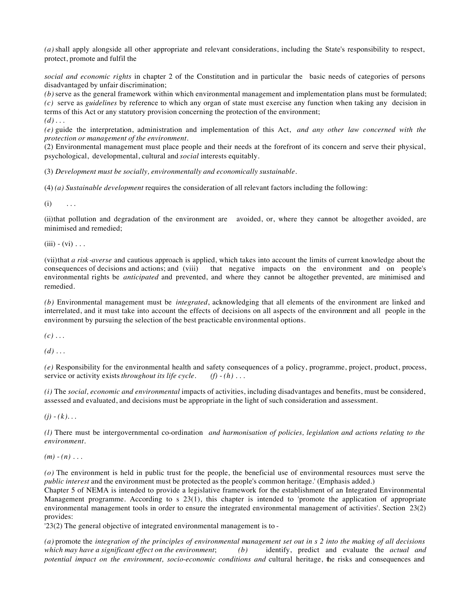*(a)* shall apply alongside all other appropriate and relevant considerations, including the State's responsibility to respect, protect, promote and fulfil the

*social and economic rights* in chapter 2 of the Constitution and in particular the basic needs of categories of persons disadvantaged by unfair discrimination;

*(b)* serve as the general framework within which environmental management and implementation plans must be formulated; *(c)* serve as *guidelines* by reference to which any organ of state must exercise any function when taking any decision in terms of this Act or any statutory provision concerning the protection of the environment;  $(d)$ ...

*(e)* guide the interpretation, administration and implementation of this Act, *and any other law concerned with the protection or management of the environment.*

(2) Environmental management must place people and their needs at the forefront of its concern and serve their physical, psychological, developmental, cultural and *social* interests equitably.

(3) *Development must be socially, environmentally and economically sustainable.*

(4) *(a) Sustainable development* requires the consideration of all relevant factors including the following:

 $(i)$  ...

(ii)that pollution and degradation of the environment are avoided, or, where they cannot be altogether avoided, are minimised and remedied;

 $(iii) - (vi) \ldots$ 

(vii)that *a risk -averse* and cautious approach is applied, which takes into account the limits of current knowledge about the consequences of decisions and actions; and (viii) that negative impacts on the environment a that negative impacts on the environment and on people's environmental rights be *anticipated* and prevented, and where they cannot be altogether prevented, are minimised and remedied.

*(b)* Environmental management must be *integrated*, acknowledging that all elements of the environment are linked and interrelated, and it must take into account the effects of decisions on all aspects of the environment and all people in the environment by pursuing the selection of the best practicable environmental options.

 $(c)$  ...

 $(d)$  ...

(e) Responsibility for the environmental health and safety consequences of a policy, programme, project, product, process, service or activity exists *throughout its life cycle*.  $(f) - (h) \dots$ service or activity exists *throughout its life cycle*.

*(i)* The *social, economic and environmental* impacts of activities, including disadvantages and benefits, must be considered, assessed and evaluated, and decisions must be appropriate in the light of such consideration and assessment.

 $(j) - (k)$ ...

*(l)* There must be intergovernmental co-ordination *and harmonisation of policies, legislation and actions relating to the environment.*

 $(m) - (n)$ ...

*(o)* The environment is held in public trust for the people, the beneficial use of environmental resources must serve the *public interest* and the environment must be protected as the people's common heritage.' (Emphasis added.)

Chapter 5 of NEMA is intended to provide a legislative framework for the establishment of an Integrated Environmental Management programme. According to s 23(1), this chapter is intended to 'promote the application of appropriate environmental management tools in order to ensure the integrated environmental management of activities'. Section 23(2) provides:

'23(2) The general objective of integrated environmental management is to -

*(a)* promote the *integration of the principles of environmental management set out in s 2 into the making of all decisions which may have a significant effect on the environment*; *(b)* identify, predict and evaluate the *actual and potential impact on the environment, socio-economic conditions and* cultural heritage, the risks and consequences and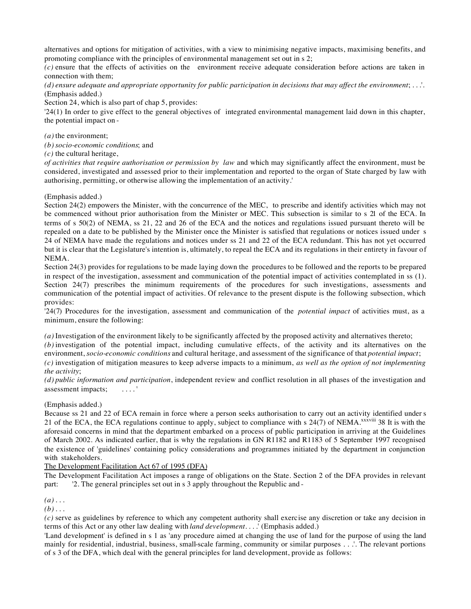alternatives and options for mitigation of activities, with a view to minimising negative impacts, maximising benefits, and promoting compliance with the principles of environmental management set out in s 2;

*(c)* ensure that the effects of activities on the environment receive adequate consideration before actions are taken in connection with them;

*(d) ensure adequate and appropriate opportunity for public participation in decisions that may affect the environment*; . . .'. (Emphasis added.)

Section 24, which is also part of chap 5, provides:

'24(1) In order to give effect to the general objectives of integrated environmental management laid down in this chapter, the potential impact on -

*(a)* the environment;

*(b) socio-economic conditions*; and

*(c)* the cultural heritage,

*of activities that require authorisation or permission by law* and which may significantly affect the environment, must be considered, investigated and assessed prior to their implementation and reported to the organ of State charged by law with authorising, permitting, or otherwise allowing the implementation of an activity.'

(Emphasis added.)

Section 24(2) empowers the Minister, with the concurrence of the MEC, to prescribe and identify activities which may not be commenced without prior authorisation from the Minister or MEC. This subsection is similar to s 21 of the ECA. In terms of s 50(2) of NEMA, ss 21, 22 and 26 of the ECA and the notices and regulations issued pursuant thereto will be repealed on a date to be published by the Minister once the Minister is satisfied that regulations or notices issued under s 24 of NEMA have made the regulations and notices under ss 21 and 22 of the ECA redundant. This has not yet occurred but it is clear that the Legislature's intention is, ultimately, to repeal the ECA and its regulations in their entirety in favour of NEMA.

Section 24(3) provides for regulations to be made laying down the procedures to be followed and the reports to be prepared in respect of the investigation, assessment and communication of the potential impact of activities contemplated in ss (1). Section 24(7) prescribes the minimum requirements of the procedures for such investigations, assessments and communication of the potential impact of activities. Of relevance to the present dispute is the following subsection, which provides:

'24(7) Procedures for the investigation, assessment and communication of the *potential impact* of activities must, as a minimum, ensure the following:

*(a)* Investigation of the environment likely to be significantly affected by the proposed activity and alternatives thereto;

*(b)* investigation of the potential impact, including cumulative effects, of the activity and its alternatives on the environment, *socio-economic conditions* and cultural heritage, and assessment of the significance of that *potential impact*; *(c)* investigation of mitigation measures to keep adverse impacts to a minimum, *as well as the option of not implementing* 

# *the activity*;

*(d) public information and participation*, independent review and conflict resolution in all phases of the investigation and assessment impacts; . . . . '

# (Emphasis added.)

Because ss 21 and 22 of ECA remain in force where a person seeks authorisation to carry out an activity identified under s 21 of the ECA, the ECA regulations continue to apply, subject to compliance with s 24(7) of NEMA.<sup>xxxviii</sup> 38 It is with the aforesaid concerns in mind that the department embarked on a process of public participation in arriving at the Guidelines of March 2002. As indicated earlier, that is why the regulations in GN R1182 and R1183 of 5 September 1997 recognised the existence of 'guidelines' containing policy considerations and programmes initiated by the department in conjunction with stakeholders.

The Development Facilitation Act 67 of 1995 (DFA)

The Development Facilitation Act imposes a range of obligations on the State. Section 2 of the DFA provides in relevant part: '2. The general principles set out in s 3 apply throughout the Republic and -

*(a)* . . .

*(b)* . . .

*(c)* serve as guidelines by reference to which any competent authority shall exercise any discretion or take any decision in terms of this Act or any other law dealing with *land development*. . . .' (Emphasis added.)

'Land development' is defined in s 1 as 'any procedure aimed at changing the use of land for the purpose of using the land mainly for residential, industrial, business, small-scale farming, community or similar purposes . . .'. The relevant portions of s 3 of the DFA, which deal with the general principles for land development, provide as follows: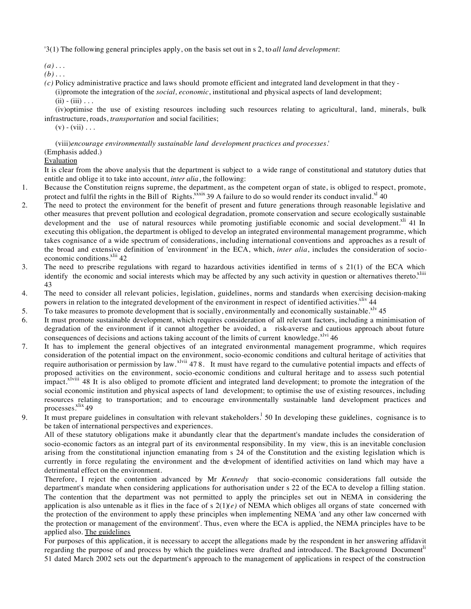'3(1) The following general principles apply, on the basis set out in s 2, to *all land development*:

*(a)* . . .

 $(b)$ ...

*(c)* Policy administrative practice and laws should promote efficient and integrated land development in that they - (i)promote the integration of the *social, economic*, institutional and physical aspects of land development;  $(ii) - (iii) \ldots$ 

(iv)optimise the use of existing resources including such resources relating to agricultural, land, minerals, bulk infrastructure, roads, *transportation* and social facilities;

 $(v)$  -  $(vii)$  . . .

(viii)*encourage environmentally sustainable land development practices and processes*.' (Emphasis added.)

# Evaluation

It is clear from the above analysis that the department is subject to a wide range of constitutional and statutory duties that entitle and oblige it to take into account, *inter alia*, the following:

- 1. Because the Constitution reigns supreme, the department, as the competent organ of state, is obliged to respect, promote, protect and fulfil the rights in the Bill of Rights. $\frac{x}{x}$  39 A failure to do so would render its conduct invalid.<sup>xl</sup> 40
- 2. The need to protect the environment for the benefit of present and future generations through reasonable legislative and other measures that prevent pollution and ecological degradation, promote conservation and secure ecologically sustainable development and the use of natural resources while promoting justifiable economic and social development.<sup>xli</sup> 41 In executing this obligation, the department is obliged to develop an integrated environmental management programme, which takes cognisance of a wide spectrum of considerations, including international conventions and approaches as a result of the broad and extensive definition of 'environment' in the ECA, which, *inter alia*, includes the consideration of socioeconomic conditions.<sup>xlii</sup> 42
- 3. The need to prescribe regulations with regard to hazardous activities identified in terms of s 21(1) of the ECA which identify the economic and social interests which may be affected by any such activity in question or alternatives thereto.<sup>xliii</sup> 43
- 4. The need to consider all relevant policies, legislation, guidelines, norms and standards when exercising decision-making powers in relation to the integrated development of the environment in respect of identified activities.<sup>xliv</sup> 44
- 5. To take measures to promote development that is socially, environmentally and economically sustainable.<sup> $x/v$ </sup> 45
- 6. It must promote sustainable development, which requires consideration of all relevant factors, including a minimisation of degradation of the environment if it cannot altogether be avoided, a risk-averse and cautious approach about future consequences of decisions and actions taking account of the limits of current knowledge. $x^{1}$  46
- 7. It has to implement the general objectives of an integrated environmental management programme, which requires consideration of the potential impact on the environment, socio-economic conditions and cultural heritage of activities that require authorisation or permission by law. <sup>xlvii</sup> 47 8. It must have regard to the cumulative potential impacts and effects of proposed activities on the environment, socio-economic conditions and cultural heritage and to assess such potential impact.<sup>xlviii</sup> 48 It is also obliged to promote efficient and integrated land development; to promote the integration of the social economic institution and physical aspects of land development; to optimise the use of existing resources, including resources relating to transportation; and to encourage environmentally sustainable land development practices and processes.<sup>xlix</sup> 49
- 9. It must prepare guidelines in consultation with relevant stakeholders.<sup>1</sup> 50 In developing these guidelines, cognisance is to be taken of international perspectives and experiences.

All of these statutory obligations make it abundantly clear that the department's mandate includes the consideration of socio-economic factors as an integral part of its environmental responsibility. In my view, this is an inevitable conclusion arising from the constitutional injunction emanating from s 24 of the Constitution and the existing legislation which is currently in force regulating the environment and the development of identified activities on land which may have a detrimental effect on the environment.

Therefore, I reject the contention advanced by Mr *Kennedy* that socio-economic considerations fall outside the department's mandate when considering applications for authorisation under s 22 of the ECA to develop a filling station. The contention that the department was not permitted to apply the principles set out in NEMA in considering the application is also untenable as it flies in the face of s  $2(1)(e)$  of NEMA which obliges all organs of state concerned with the protection of the environment to apply these principles when implementing NEMA 'and any other law concerned with the protection or management of the environment'. Thus, even where the ECA is applied, the NEMA principles have to be applied also. The guidelines

For purposes of this application, it is necessary to accept the allegations made by the respondent in her answering affidavit regarding the purpose of and process by which the guidelines were drafted and introduced. The Background Document<sup>li</sup> 51 dated March 2002 sets out the department's approach to the management of applications in respect of the construction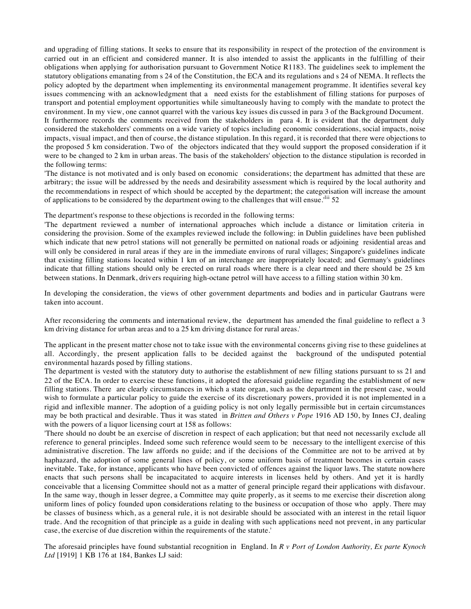and upgrading of filling stations. It seeks to ensure that its responsibility in respect of the protection of the environment is carried out in an efficient and considered manner. It is also intended to assist the applicants in the fulfilling of their obligations when applying for authorisation pursuant to Government Notice R1183. The guidelines seek to implement the statutory obligations emanating from s 24 of the Constitution, the ECA and its regulations and s 24 of NEMA. It reflects the policy adopted by the department when implementing its environmental management programme. It identifies several key issues commencing with an acknowledgment that a need exists for the establishment of filling stations for purposes of transport and potential employment opportunities while simultaneously having to comply with the mandate to protect the environment. In my view, one cannot quarrel with the various key issues dis cussed in para 3 of the Background Document. It furthermore records the comments received from the stakeholders in para 4. It is evident that the department duly considered the stakeholders' comments on a wide variety of topics including economic considerations, social impacts, noise impacts, visual impact, and then of course, the distance stipulation. In this regard, it is recorded that there were objections to the proposed 5 km consideration. Two of the objectors indicated that they would support the proposed consideration if it were to be changed to 2 km in urban areas. The basis of the stakeholders' objection to the distance stipulation is recorded in the following terms:

'The distance is not motivated and is only based on economic considerations; the department has admitted that these are arbitrary; the issue will be addressed by the needs and desirability assessment which is required by the local authority and the recommendations in respect of which should be accepted by the department; the categorisation will increase the amount of applications to be considered by the department owing to the challenges that will ensue.<sup>'lii</sup> 52

The department's response to these objections is recorded in the following terms:

'The department reviewed a number of international approaches which include a distance or limitation criteria in considering the provision. Some of the examples reviewed include the following: in Dublin guidelines have been published which indicate that new petrol stations will not generally be permitted on national roads or adjoining residential areas and will only be considered in rural areas if they are in the immediate environs of rural villages; Singapore's guidelines indicate that existing filling stations located within 1 km of an interchange are inappropriately located; and Germany's guidelines indicate that filling stations should only be erected on rural roads where there is a clear need and there should be 25 km between stations. In Denmark, drivers requiring high-octane petrol will have access to a filling station within 30 km.

In developing the consideration, the views of other government departments and bodies and in particular Gautrans were taken into account.

After reconsidering the comments and international review, the department has amended the final guideline to reflect a 3 km driving distance for urban areas and to a 25 km driving distance for rural areas.'

The applicant in the present matter chose not to take issue with the environmental concerns giving rise to these guidelines at all. Accordingly, the present application falls to be decided against the background of the undisputed potential environmental hazards posed by filling stations.

The department is vested with the statutory duty to authorise the establishment of new filling stations pursuant to ss 21 and 22 of the ECA. In order to exercise these functions, it adopted the aforesaid guideline regarding the establishment of new filling stations. There are clearly circumstances in which a state organ, such as the department in the present case, would wish to formulate a particular policy to guide the exercise of its discretionary powers, provided it is not implemented in a rigid and inflexible manner. The adoption of a guiding policy is not only legally permissible but in certain circumstances may be both practical and desirable. Thus it was stated in *Britten and Others v Pope* 1916 AD 150, by Innes CJ, dealing with the powers of a liquor licensing court at 158 as follows:

'There should no doubt be an exercise of discretion in respect of each application; but that need not necessarily exclude all reference to general principles. Indeed some such reference would seem to be necessary to the intelligent exercise of this administrative discretion. The law affords no guide; and if the decisions of the Committee are not to be arrived at by haphazard, the adoption of some general lines of policy, or some uniform basis of treatment becomes in certain cases inevitable. Take, for instance, applicants who have been convicted of offences against the liquor laws. The statute nowhere enacts that such persons shall be incapacitated to acquire interests in licenses held by others. And yet it is hardly conceivable that a licensing Committee should not as a matter of general principle regard their applications with disfavour. In the same way, though in lesser degree, a Committee may quite properly, as it seems to me exercise their discretion along uniform lines of policy founded upon considerations relating to the business or occupation of those who apply. There may be classes of business which, as a general rule, it is not desirable should be associated with an interest in the retail liquor trade. And the recognition of that principle as a guide in dealing with such applications need not prevent, in any particular case, the exercise of due discretion within the requirements of the statute.'

The aforesaid principles have found substantial recognition in England. In *R v Port of London Authority, Ex parte Kynoch Ltd* [1919] 1 KB 176 at 184, Bankes LJ said: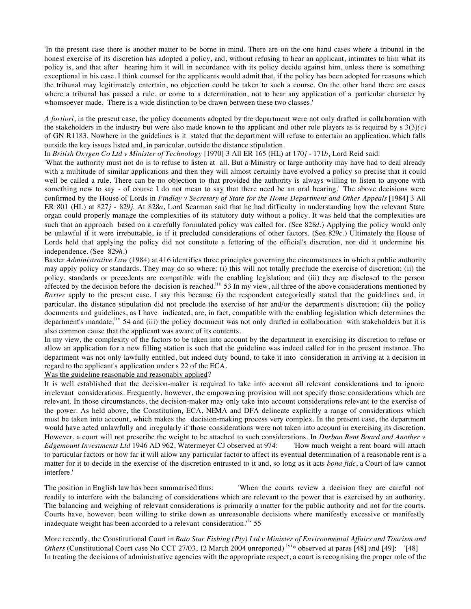'In the present case there is another matter to be borne in mind. There are on the one hand cases where a tribunal in the honest exercise of its discretion has adopted a policy, and, without refusing to hear an applicant, intimates to him what its policy is, and that after hearing him it will in accordance with its policy decide against him, unless there is something exceptional in his case. I think counsel for the applicants would admit that, if the policy has been adopted for reasons which the tribunal may legitimately entertain, no objection could be taken to such a course. On the other hand there are cases where a tribunal has passed a rule, or come to a determination, not to hear any application of a particular character by whomsoever made. There is a wide distinction to be drawn between these two classes.'

*A fortiori*, in the present case, the policy documents adopted by the department were not only drafted in collaboration with the stakeholders in the industry but were also made known to the applicant and other role players as is required by  $s \frac{3(3)}{c}$ of GN R1183. Nowhere in the guidelines is it stated that the department will refuse to entertain an application, which falls outside the key issues listed and, in particular, outside the distance stipulation.

In *British Oxygen Co Ltd v Minister of Technology* [1970] 3 All ER 165 (HL) at 170*j* - 171*b*, Lord Reid said:

'What the authority must not do is to refuse to listen at all. But a Ministry or large authority may have had to deal already with a multitude of similar applications and then they will almost certainly have evolved a policy so precise that it could well be called a rule. There can be no objection to that provided the authority is always willing to listen to anyone with something new to say - of course I do not mean to say that there need be an oral hearing.' The above decisions were confirmed by the House of Lords in *Findlay v Secretary of State for the Home Department and Other Appeals* [1984] 3 All ER 801 (HL) at 827*j* - 829*j*. At 828*a*, Lord Scarman said that he had difficulty in understanding how the relevant State organ could properly manage the complexities of its statutory duty without a policy. It was held that the complexities are such that an approach based on a carefully formulated policy was called for. (See 828*d*.) Applying the policy would only be unlawful if it were irrebuttable, ie if it precluded considerations of other factors. (See 829*c*.) Ultimately the House of Lords held that applying the policy did not constitute a fettering of the official's discretion, nor did it undermine his independence. (See 829*h*.)

Baxter *Administrative Law* (1984) at 416 identifies three principles governing the circumstances in which a public authority may apply policy or standards. They may do so where: (i) this will not totally preclude the exercise of discretion; (ii) the policy, standards or precedents are compatible with the enabling legislation; and (iii) they are disclosed to the person affected by the decision before the decision is reached.<sup>liii</sup> 53 In my view, all three of the above considerations mentioned by *Baxter* apply to the present case. I say this because (i) the respondent categorically stated that the guidelines and, in particular, the distance stipulation did not preclude the exercise of her and/or the department's discretion; (ii) the policy documents and guidelines, as I have indicated, are, in fact, compatible with the enabling legislation which determines the department's mandate;<sup>liv</sup> 54 and (iii) the policy document was not only drafted in collaboration with stakeholders but it is also common cause that the applicant was aware of its contents.

In my view, the complexity of the factors to be taken into account by the department in exercising its discretion to refuse or allow an application for a new filling station is such that the guideline was indeed called for in the present instance. The department was not only lawfully entitled, but indeed duty bound, to take it into consideration in arriving at a decision in regard to the applicant's application under s 22 of the ECA.

Was the guideline reasonable and reasonably applied?

It is well established that the decision-maker is required to take into account all relevant considerations and to ignore irrelevant considerations. Frequently, however, the empowering provision will not specify those considerations which are relevant. In those circumstances, the decision-maker may only take into account considerations relevant to the exercise of the power. As held above, the Constitution, ECA, NEMA and DFA delineate explicitly a range of considerations which must be taken into account, which makes the decision-making process very complex. In the present case, the department would have acted unlawfully and irregularly if those considerations were not taken into account in exercising its discretion. However, a court will not prescribe the weight to be attached to such considerations. In *Durban Rent Board and Another v Edgemount Investments Ltd* 1946 AD 962, Watermeyer CJ observed at 974: 'How much weight a rent board will attach to particular factors or how far it will allow any particular factor to affect its eventual determination of a reasonable rent is a matter for it to decide in the exercise of the discretion entrusted to it and, so long as it acts *bona fide*, a Court of law cannot interfere.'

The position in English law has been summarised thus: 'When the courts review a decision they are careful not readily to interfere with the balancing of considerations which are relevant to the power that is exercised by an authority. The balancing and weighing of relevant considerations is primarily a matter for the public authority and not for the courts. Courts have, however, been willing to strike down as unreasonable decisions where manifestly excessive or manifestly inadequate weight has been accorded to a relevant consideration.<sup> $l<sub>v</sub>$ </sup> 55

More recently, the Constitutional Court in *Bato Star Fishing (Pty) Ltd v Minister of Environmental Affairs and Tourism and Others* (Constitutional Court case No CCT 27/03, 12 March 2004 unreported) <sup>lvi</sup>\* observed at paras [48] and [49]: '[48] In treating the decisions of administrative agencies with the appropriate respect, a court is recognising the proper role of the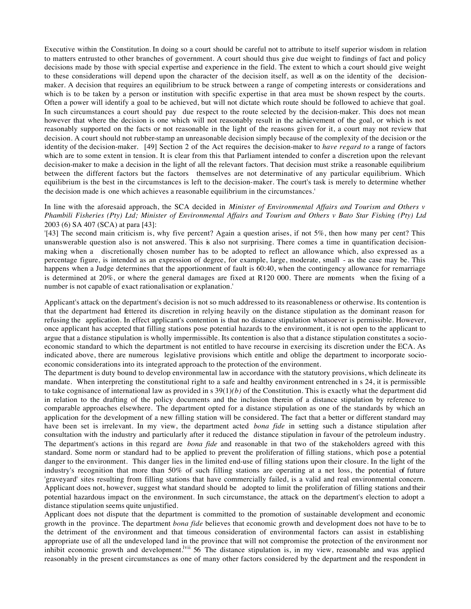Executive within the Constitution. In doing so a court should be careful not to attribute to itself superior wisdom in relation to matters entrusted to other branches of government. A court should thus give due weight to findings of fact and policy decisions made by those with special expertise and experience in the field. The extent to which a court should give weight to these considerations will depend upon the character of the decision itself, as well as on the identity of the decisionmaker. A decision that requires an equilibrium to be struck between a range of competing interests or considerations and which is to be taken by a person or institution with specific expertise in that area must be shown respect by the courts. Often a power will identify a goal to be achieved, but will not dictate which route should be followed to achieve that goal. In such circumstances a court should pay due respect to the route selected by the decision-maker. This does not mean however that where the decision is one which will not reasonably result in the achievement of the goal, or which is not reasonably supported on the facts or not reasonable in the light of the reasons given for it, a court may not review that decision. A court should not rubber-stamp an unreasonable decision simply because of the complexity of the decision or the identity of the decision-maker. [49] Section 2 of the Act requires the decision-maker to *have regard to* a range of factors which are to some extent in tension. It is clear from this that Parliament intended to confer a discretion upon the relevant decision-maker to make a decision in the light of all the relevant factors. That decision must strike a reasonable equilibrium between the different factors but the factors themselves are not determinative of any particular equilibrium. Which equilibrium is the best in the circumstances is left to the decision-maker. The court's task is merely to determine whether the decision made is one which achieves a reasonable equilibrium in the circumstances.'

# In line with the aforesaid approach, the SCA decided in *Minister of Environmental Affairs and Tourism and Others v Phambili Fisheries (Pty) Ltd; Minister of Environmental Affairs and Tourism and Others v Bato Star Fishing (Pty) Ltd* 2003 (6) SA 407 (SCA) at para [43]:

'[43] The second main criticism is, why five percent? Again a question arises, if not 5%, then how many per cent? This unanswerable question also is not answered. This is also not surprising. There comes a time in quantification decisionmaking when a discretionally chosen number has to be adopted to reflect an allowance which, also expressed as a percentage figure, is intended as an expression of degree, for example, large, moderate, small - as the case may be. This happens when a Judge determines that the apportionment of fault is 60:40, when the contingency allowance for remarriage is determined at 20%, or where the general damages are fixed at R120 000. There are moments when the fixing of a number is not capable of exact rationalisation or explanation.'

Applicant's attack on the department's decision is not so much addressed to its reasonableness or otherwise. Its contention is that the department had fettered its discretion in relying heavily on the distance stipulation as the dominant reason for refusing the application. In effect applicant's contention is that no distance stipulation whatsoever is permissible. However, once applicant has accepted that filling stations pose potential hazards to the environment, it is not open to the applicant to argue that a distance stipulation is wholly impermissible. Its contention is also that a distance stipulation constitutes a socioeconomic standard to which the department is not entitled to have recourse in exercising its discretion under the ECA. As indicated above, there are numerous legislative provisions which entitle and oblige the department to incorporate socioeconomic considerations into its integrated approach to the protection of the environment.

The department is duty bound to develop environmental law in accordance with the statutory provisions, which delineate its mandate. When interpreting the constitutional right to a safe and healthy environment entrenched in s 24, it is permissible to take cognisance of international law as provided in s  $39(1)(b)$  of the Constitution. This is exactly what the department did in relation to the drafting of the policy documents and the inclusion therein of a distance stipulation by reference to comparable approaches elsewhere. The department opted for a distance stipulation as one of the standards by which an application for the development of a new filling station will be considered. The fact that a better or different standard may have been set is irrelevant. In my view, the department acted *bona fide* in setting such a distance stipulation after consultation with the industry and particularly after it reduced the distance stipulation in favour of the petroleum industry. The department's actions in this regard are *bona fide* and reasonable in that two of the stakeholders agreed with this standard. Some norm or standard had to be applied to prevent the proliferation of filling stations, which pose a potential danger to the environment. This danger lies in the limited end-use of filling stations upon their closure. In the light of the industry's recognition that more than 50% of such filling stations are operating at a net loss, the potential of future 'graveyard' sites resulting from filling stations that have commercially failed, is a valid and real environmental concern. Applicant does not, however, suggest what standard should be adopted to limit the proliferation of filling stations and their potential hazardous impact on the environment. In such circumstance, the attack on the department's election to adopt a distance stipulation seems quite unjustified.

Applicant does not dispute that the department is committed to the promotion of sustainable development and economic growth in the province. The department *bona fide* believes that economic growth and development does not have to be to the detriment of the environment and that timeous consideration of environmental factors can assist in establishing appropriate use of all the undeveloped land in the province that will not compromise the protection of the environment nor inhibit economic growth and development.<sup>Ivii</sup> 56 The distance stipulation is, in my view, reasonable and was applied reasonably in the present circumstances as one of many other factors considered by the department and the respondent in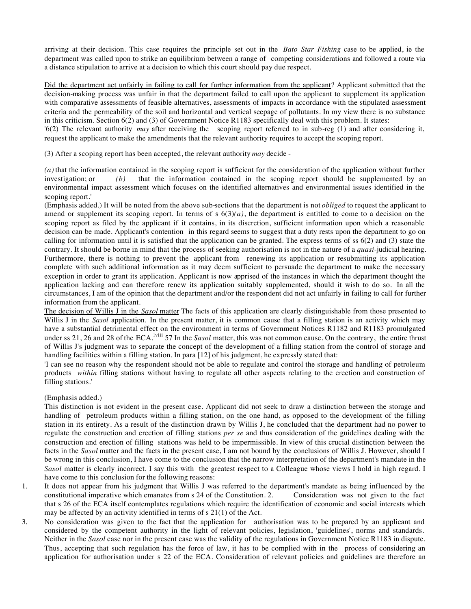arriving at their decision. This case requires the principle set out in the *Bato Star Fishing* case to be applied, ie the department was called upon to strike an equilibrium between a range of competing considerations and followed a route via a distance stipulation to arrive at a decision to which this court should pay due respect.

Did the department act unfairly in failing to call for further information from the applicant? Applicant submitted that the decision-making process was unfair in that the department failed to call upon the applicant to supplement its application with comparative assessments of feasible alternatives, assessments of impacts in accordance with the stipulated assessment criteria and the permeability of the soil and horizontal and vertical seepage of pollutants. In my view there is no substance in this criticism. Section 6(2) and (3) of Government Notice R1183 specifically deal with this problem. It states:

'6(2) The relevant authority *may* after receiving the scoping report referred to in sub-reg (1) and after considering it, request the applicant to make the amendments that the relevant authority requires to accept the scoping report.

(3) After a scoping report has been accepted, the relevant authority *may* decide -

*(a)* that the information contained in the scoping report is sufficient for the consideration of the application without further investigation; or *(b)* that the information contained in the scoping report should be supplemented by an environmental impact assessment which focuses on the identified alternatives and environmental issues identified in the scoping report.'

(Emphasis added.) It will be noted from the above sub-sections that the department is not *obliged* to request the applicant to amend or supplement its scoping report. In terms of s  $6(3)(a)$ , the department is entitled to come to a decision on the scoping report as filed by the applicant if it contains, in its discretion, sufficient information upon which a reasonable decision can be made. Applicant's contention in this regard seems to suggest that a duty rests upon the department to go on calling for information until it is satisfied that the application can be granted. The express terms of ss 6(2) and (3) state the contrary. It should be borne in mind that the process of seeking authorisation is not in the nature of a *quasi*-judicial hearing. Furthermore, there is nothing to prevent the applicant from renewing its application or resubmitting its application complete with such additional information as it may deem sufficient to persuade the department to make the necessary exception in order to grant its application. Applicant is now apprised of the instances in which the department thought the application lacking and can therefore renew its application suitably supplemented, should it wish to do so. In all the circumstances, I am of the opinion that the department and/or the respondent did not act unfairly in failing to call for further information from the applicant.

The decision of Willis J in the *Sasol* matter The facts of this application are clearly distinguishable from those presented to Willis J in the *Sasol* application. In the present matter, it is common cause that a filling station is an activity which may have a substantial detrimental effect on the environment in terms of Government Notices R1182 and R1183 promulgated under ss 21, 26 and 28 of the ECA.lviii 57 In the *Sasol* matter, this was not common cause. On the contrary, the entire thrust of Willis J's judgment was to separate the concept of the development of a filling station from the control of storage and handling facilities within a filling station. In para [12] of his judgment, he expressly stated that:

'I can see no reason why the respondent should not be able to regulate and control the storage and handling of petroleum products *within* filling stations without having to regulate all other aspects relating to the erection and construction of filling stations.'

## (Emphasis added.)

This distinction is not evident in the present case. Applicant did not seek to draw a distinction between the storage and handling of petroleum products within a filling station, on the one hand, as opposed to the development of the filling station in its entirety. As a result of the distinction drawn by Willis J, he concluded that the department had no power to regulate the construction and erection of filling stations *per se* and thus consideration of the guidelines dealing with the construction and erection of filling stations was held to be impermissible. In view of this crucial distinction between the facts in the *Sasol* matter and the facts in the present case, I am not bound by the conclusions of Willis J. However, should I be wrong in this conclusion, I have come to the conclusion that the narrow interpretation of the department's mandate in the *Sasol* matter is clearly incorrect. I say this with the greatest respect to a Colleague whose views I hold in high regard. I have come to this conclusion for the following reasons:

- 1. It does not appear from his judgment that Willis J was referred to the department's mandate as being influenced by the constitutional imperative which emanates from s 24 of the Constitution. 2. Consideration was not given to the fact that s 26 of the ECA itself contemplates regulations which require the identification of economic and social interests which may be affected by an activity identified in terms of s 21(1) of the Act.
- 3. No consideration was given to the fact that the application for authorisation was to be prepared by an applicant and considered by the competent authority in the light of relevant policies, legislation, 'guidelines', norms and standards. Neither in the *Sasol* case nor in the present case was the validity of the regulations in Government Notice R1183 in dispute. Thus, accepting that such regulation has the force of law, it has to be complied with in the process of considering an application for authorisation under s 22 of the ECA. Consideration of relevant policies and guidelines are therefore an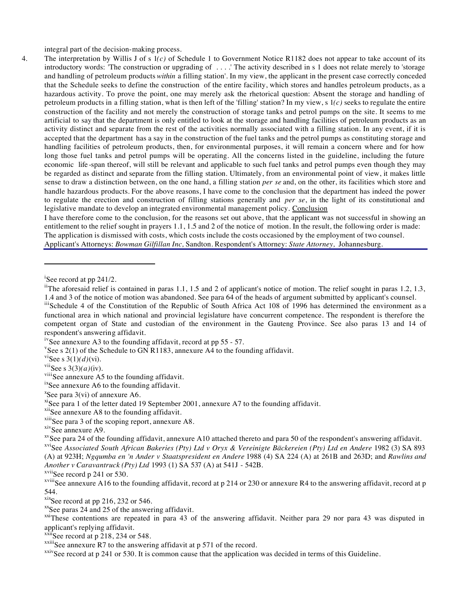integral part of the decision-making process.

4. The interpretation by Willis J of s 1*(c)* of Schedule 1 to Government Notice R1182 does not appear to take account of its introductory words: 'The construction or upgrading of . . . .' The activity described in s 1 does not relate merely to 'storage and handling of petroleum products *within* a filling station'. In my view, the applicant in the present case correctly conceded that the Schedule seeks to define the construction of the entire facility, which stores and handles petroleum products, as a hazardous activity. To prove the point, one may merely ask the rhetorical question: Absent the storage and handling of petroleum products in a filling station, what is then left of the 'filling' station? In my view, s 1*(c)* seeks to regulate the entire construction of the facility and not merely the construction of storage tanks and petrol pumps on the site. It seems to me artificial to say that the department is only entitled to look at the storage and handling facilities of petroleum products as an activity distinct and separate from the rest of the activities normally associated with a filling station. In any event, if it is accepted that the department has a say in the construction of the fuel tanks and the petrol pumps as constituting storage and handling facilities of petroleum products, then, for environmental purposes, it will remain a concern where and for how long those fuel tanks and petrol pumps will be operating. All the concerns listed in the guideline, including the future economic life -span thereof, will still be relevant and applicable to such fuel tanks and petrol pumps even though they may be regarded as distinct and separate from the filling station. Ultimately, from an environmental point of view, it makes little sense to draw a distinction between, on the one hand, a filling station *per se* and, on the other, its facilities which store and handle hazardous products. For the above reasons, I have come to the conclusion that the department has indeed the power to regulate the erection and construction of filling stations generally and *per se*, in the light of its constitutional and legislative mandate to develop an integrated environmental management policy. Conclusion

I have therefore come to the conclusion, for the reasons set out above, that the applicant was not successful in showing an entitlement to the relief sought in prayers 1.1, 1.5 and 2 of the notice of motion. In the result, the following order is made: The application is dismissed with costs, which costs include the costs occasioned by the employment of two counsel. Applicant's Attorneys: *Bowman Gilfillan Inc,* Sandton. Respondent's Attorney: *State Attorney,* Johannesburg.

 $\overline{a}$ 

xviSee *Associated South African Bakeries (Pty) Ltd v Oryx & Vereinigte Bäckereien (Pty) Ltd en Andere* 1982 (3) SA 893 (A) at 923H; *Ngqumba en 'n Ander v Staatspresident en Andere* 1988 (4) SA 224 (A) at 261B and 263D; and *Rawlins and Another v Caravantruck (Pty) Ltd* 1993 (1) SA 537 (A) at 541J - 542B.

 $x^x$ See paras 24 and 25 of the answering affidavit.

<sup>xxi</sup>These contentions are repeated in para 43 of the answering affidavit. Neither para 29 nor para 43 was disputed in applicant's replying affidavit.

 $x\ddot{x}$ ii<sup>S</sup>ee record at p 218, 234 or 548.

<sup>&</sup>lt;sup>i</sup>See record at pp 241/2.

<sup>&</sup>lt;sup>ii</sup>The aforesaid relief is contained in paras 1.1, 1.5 and 2 of applicant's notice of motion. The relief sought in paras 1.2, 1.3, 1.4 and 3 of the notice of motion was abandoned. See para 64 of the heads of argument submitted by applicant's counsel.

iiiSchedule 4 of the Constitution of the Republic of South Africa Act 108 of 1996 has determined the environment as a functional area in which national and provincial legislature have concurrent competence. The respondent is therefore the competent organ of State and custodian of the environment in the Gauteng Province. See also paras 13 and 14 of respondent's answering affidavit.

<sup>&</sup>lt;sup>iv</sup>See annexure A3 to the founding affidavit, record at pp 55 - 57.

<sup>&</sup>lt;sup>v</sup>See s 2(1) of the Schedule to GN R1183, annexure A4 to the founding affidavit.

<sup>&</sup>lt;sup>vi</sup>See s 3(1) $(d)$ (vi).

<sup>&</sup>lt;sup>vii</sup>See s 3(3) $(a)$ (iv).

viiiSee annexure A5 to the founding affidavit.

<sup>&</sup>lt;sup>ix</sup>See annexure A6 to the founding affidavit.

 $x$ See para 3(vi) of annexure A6.

 $x$ <sup>i</sup>See para 1 of the letter dated 19 September 2001, annexure A7 to the founding affidavit.

xiiSee annexure A8 to the founding affidavit.

 $x^{xii}$ See para 3 of the scoping report, annexure A8.<br> $x^{ix}$ See annexure A9.

 $x$ See para 24 of the founding affidavit, annexure A10 attached thereto and para 50 of the respondent's answering affidavit.

 $xvii$ See record p 241 or 530.

xviiiSee annexure A16 to the founding affidavit, record at p 214 or 230 or annexure R4 to the answering affidavit, record at p 544.<br><sup>xix</sup>See record at pp 216, 232 or 546.

 $x^x$ <sup>xxiii</sup>See annexure R7 to the answering affidavit at p 571 of the record.

 $x<sub>xiv</sub>$ See record at p 241 or 530. It is common cause that the application was decided in terms of this Guideline.